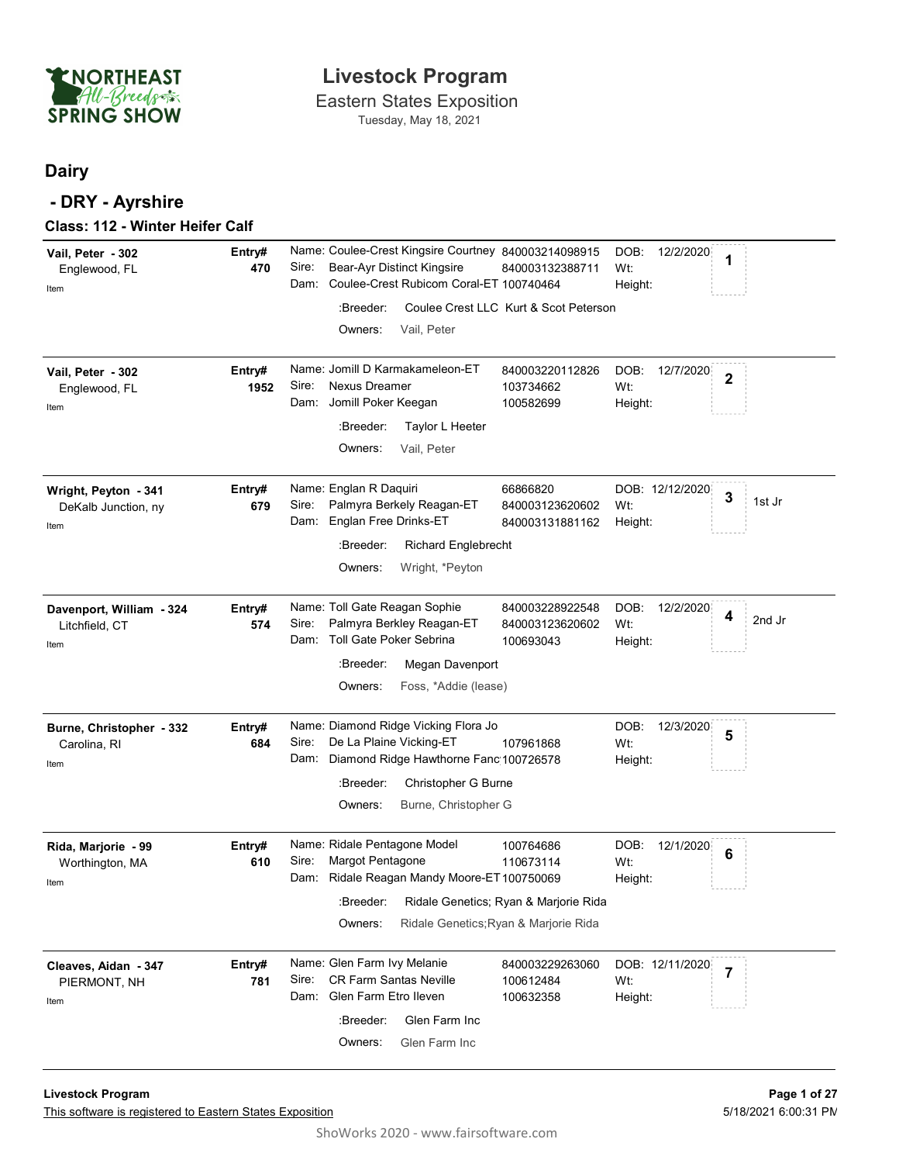

### **Dairy**

| ENORTHEAST<br>All-Breeds<br><b>SPRING SHOW</b>       |                | <b>Livestock Program</b><br><b>Eastern States Exposition</b><br>Tuesday, May 18, 2021                                   |                                                                                |                                     |                                                                         |        |
|------------------------------------------------------|----------------|-------------------------------------------------------------------------------------------------------------------------|--------------------------------------------------------------------------------|-------------------------------------|-------------------------------------------------------------------------|--------|
| <b>Dairy</b><br>- DRY - Ayrshire                     |                |                                                                                                                         |                                                                                |                                     |                                                                         |        |
| Class: 112 - Winter Heifer Calf<br>Vail, Peter - 302 | Entry#         | Name: Coulee-Crest Kingsire Courtney 840003214098915                                                                    |                                                                                | DOB:<br>12/2/2020                   | 1                                                                       |        |
| Englewood, FL<br>Item                                | 470            | Sire:<br>Bear-Ayr Distinct Kingsire<br>Coulee-Crest Rubicom Coral-ET 100740464<br>Dam:                                  | 840003132388711                                                                | Wt:<br>Height:                      |                                                                         |        |
|                                                      |                | :Breeder:<br>Owners:<br>Vail, Peter                                                                                     | Coulee Crest LLC Kurt & Scot Peterson                                          |                                     |                                                                         |        |
| Vail, Peter - 302<br>Englewood, FL<br>Item           | Entry#<br>1952 | Name: Jomill D Karmakameleon-ET<br>Nexus Dreamer<br>Sire:<br>Dam: Jomill Poker Keegan                                   | 840003220112826<br>103734662<br>100582699                                      | DOB:<br>12/7/2020<br>Wt:<br>Height: | $\overline{\mathbf{2}}$                                                 |        |
|                                                      |                | :Breeder:<br>Taylor L Heeter<br>Vail, Peter<br>Owners:                                                                  |                                                                                |                                     |                                                                         |        |
| Wright, Peyton - 341<br>DeKalb Junction, ny<br>item  | Entry#<br>679  | Name: Englan R Daquiri<br>Palmyra Berkely Reagan-ET<br>Sire:<br>Dam: Englan Free Drinks-ET                              | 66866820<br>840003123620602<br>840003131881162                                 | DOB: 12/12/2020<br>Wt:<br>Height:   | 3<br>$\mathbb{L} = \mathbb{L} = \mathbb{L} = \mathbb{L} = \mathbb{L}^3$ | 1st Jr |
|                                                      |                | :Breeder:<br><b>Richard Englebrecht</b><br>Wright, *Peyton<br>Owners:                                                   |                                                                                |                                     |                                                                         |        |
| Davenport, William - 324<br>Litchfield, CT<br>Item   | Entry#<br>574  | Name: Toll Gate Reagan Sophie<br>Palmyra Berkley Reagan-ET<br>Sire:<br>Dam: Toll Gate Poker Sebrina                     | 840003228922548<br>840003123620602<br>100693043                                | DOB:<br>12/2/2020<br>Wt:<br>Height: | 4                                                                       | 2nd Jr |
|                                                      |                | :Breeder:<br>Megan Davenport<br>Owners:<br>Foss, *Addie (lease)                                                         |                                                                                |                                     |                                                                         |        |
| Burne, Christopher - 332<br>Carolina, RI<br>Item     | Entry#<br>684  | Name: Diamond Ridge Vicking Flora Jo<br>De La Plaine Vicking-ET<br>Sire:<br>Dam: Diamond Ridge Hawthorne Fanc 100726578 | 107961868                                                                      | DOB:<br>12/3/2020<br>Wt:<br>Height: | 5                                                                       |        |
|                                                      |                | Christopher G Burne<br>:Breeder:<br>Burne, Christopher G<br>Owners:                                                     |                                                                                |                                     |                                                                         |        |
| Rida, Marjorie - 99<br>Worthington, MA<br>Item       | Entry#<br>610  | Name: Ridale Pentagone Model<br>Margot Pentagone<br>Sire:<br>Dam: Ridale Reagan Mandy Moore-ET 100750069                | 100764686<br>110673114                                                         | DOB:<br>12/1/2020<br>Wt:<br>Height: | $6\phantom{1}6$                                                         |        |
|                                                      |                | :Breeder:<br>Owners:                                                                                                    | Ridale Genetics; Ryan & Marjorie Rida<br>Ridale Genetics; Ryan & Marjorie Rida |                                     |                                                                         |        |
| Cleaves, Aidan - 347<br>PIERMONT, NH<br>Item         | Entry#<br>781  | Name: Glen Farm Ivy Melanie<br><b>CR Farm Santas Neville</b><br>Sire:<br>Dam: Glen Farm Etro Ileven                     | 840003229263060<br>100612484<br>100632358                                      | DOB: 12/11/2020<br>Wt:<br>Height:   | $\overline{7}$                                                          |        |
|                                                      |                | Glen Farm Inc<br>:Breeder:<br>Glen Farm Inc<br>Owners:                                                                  |                                                                                |                                     |                                                                         |        |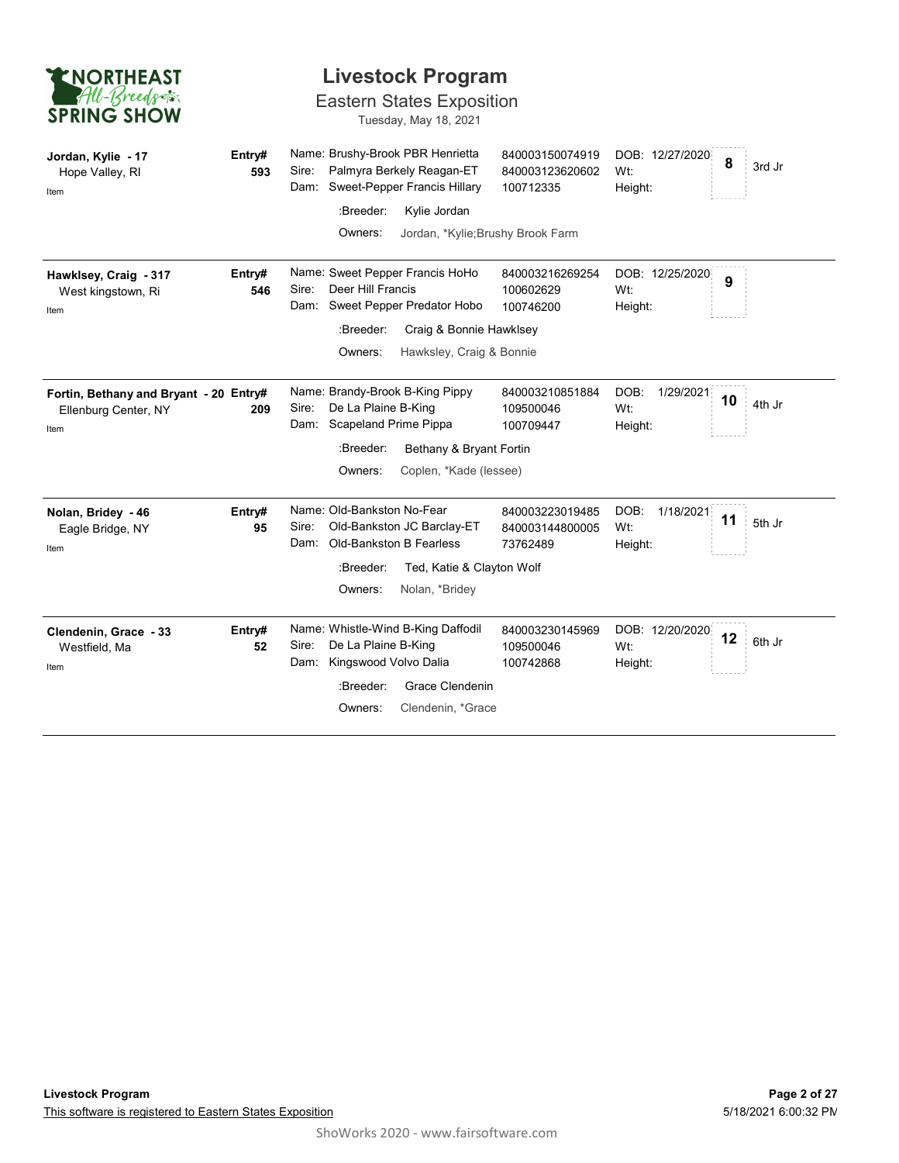| <b>ENORTHEAST</b>                                                      |               | <b>Livestock Program</b>                                                                                    |                                                 |                                     |    |        |
|------------------------------------------------------------------------|---------------|-------------------------------------------------------------------------------------------------------------|-------------------------------------------------|-------------------------------------|----|--------|
| All-Breeds<br><b>SPRING SHOW</b>                                       |               | <b>Eastern States Exposition</b><br>Tuesday, May 18, 2021                                                   |                                                 |                                     |    |        |
| Jordan, Kylie - 17<br>Hope Valley, RI<br>Item                          | Entry#<br>593 | Name: Brushy-Brook PBR Henrietta<br>Palmyra Berkely Reagan-ET<br>Sire:<br>Dam: Sweet-Pepper Francis Hillary | 840003150074919<br>840003123620602<br>100712335 | DOB: 12/27/2020<br>Wt:<br>Height:   | 8  | 3rd Jr |
|                                                                        |               | :Breeder:<br>Kylie Jordan<br>Jordan, *Kylie; Brushy Brook Farm<br>Owners:                                   |                                                 |                                     |    |        |
| Hawklsey, Craig - 317<br>West kingstown, Ri<br>Item                    | Entry#<br>546 | Name: Sweet Pepper Francis HoHo<br>Sire:<br>Deer Hill Francis<br>Sweet Pepper Predator Hobo<br>Dam:         | 840003216269254<br>100602629<br>100746200       | DOB: 12/25/2020<br>Wt:<br>Height:   | 9  |        |
|                                                                        |               | :Breeder:<br>Craig & Bonnie Hawklsey<br>Owners:<br>Hawksley, Craig & Bonnie                                 |                                                 |                                     |    |        |
| Fortin, Bethany and Bryant - 20 Entry#<br>Ellenburg Center, NY<br>Item | 209           | Name: Brandy-Brook B-King Pippy<br>De La Plaine B-King<br>Sire:<br>Dam: Scapeland Prime Pippa               | 840003210851884<br>109500046<br>100709447       | DOB:<br>1/29/2021<br>Wt:<br>Height: | 10 | 4th Jr |
|                                                                        |               | Bethany & Bryant Fortin<br>:Breeder:<br>Coplen, *Kade (lessee)<br>Owners:                                   |                                                 |                                     |    |        |
| Nolan, Bridey - 46<br>Eagle Bridge, NY<br>Item                         | Entry#<br>95  | Name: Old-Bankston No-Fear<br>Old-Bankston JC Barclay-ET<br>Sire:<br>Old-Bankston B Fearless<br>Dam:        | 840003223019485<br>840003144800005<br>73762489  | DOB: 1/18/2021<br>Wt:<br>Height:    | 11 | 5th Jr |
|                                                                        |               | :Breeder:<br>Ted, Katie & Clayton Wolf<br>Owners:<br>Nolan, *Bridey                                         |                                                 |                                     |    |        |
| Clendenin, Grace - 33<br>Westfield, Ma<br>Item                         | Entry#<br>52  | Name: Whistle-Wind B-King Daffodil<br>De La Plaine B-King<br>Sire:<br>Dam: Kingswood Volvo Dalia            | 840003230145969<br>109500046<br>100742868       | DOB: 12/20/2020<br>Wt:<br>Height:   | 12 | 6th Jr |
|                                                                        |               | :Breeder:<br>Grace Clendenin<br>Owners:<br>Clendenin, *Grace                                                |                                                 |                                     |    |        |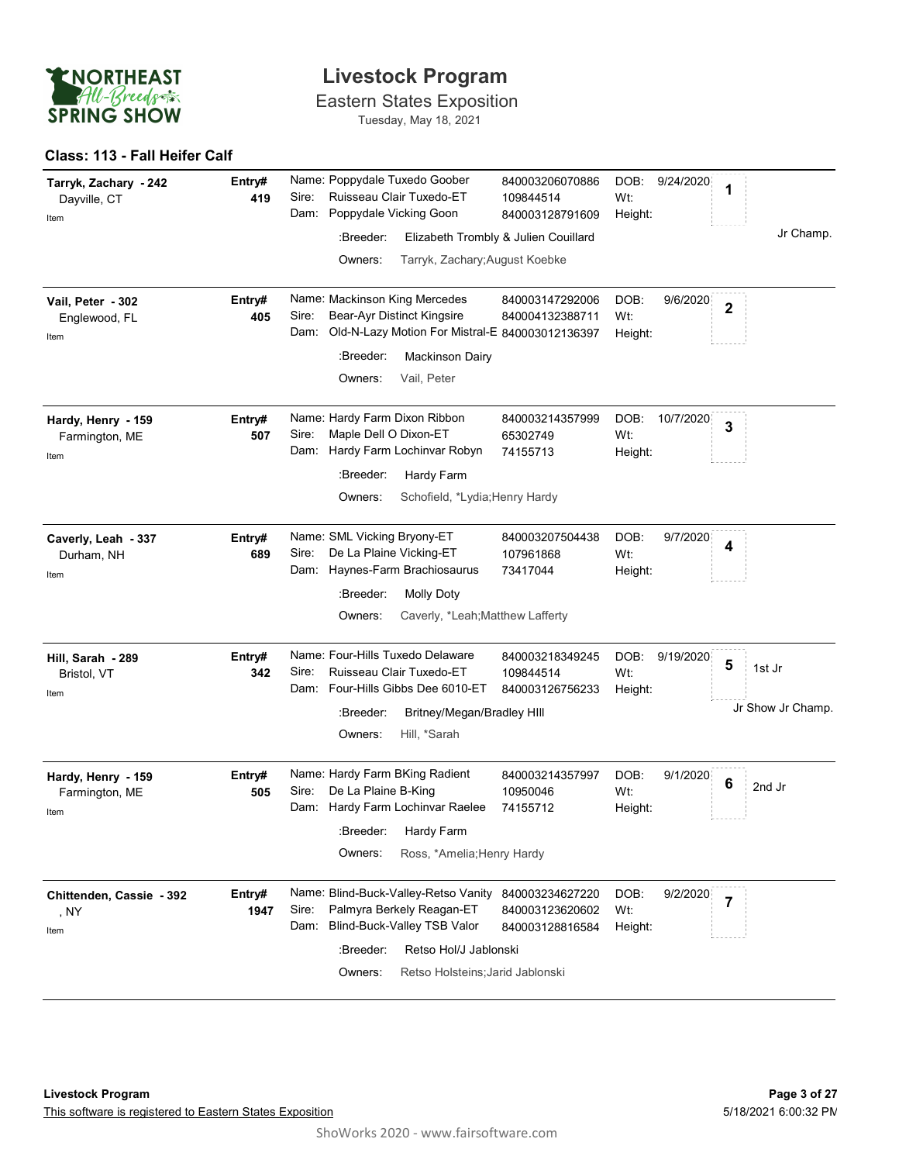

#### Class: 113 - Fall Heifer Calf

| <b>ENORTHEAST</b>                             |                | <b>Livestock Program</b>                                                                                                                                                                                                                                                                                                |
|-----------------------------------------------|----------------|-------------------------------------------------------------------------------------------------------------------------------------------------------------------------------------------------------------------------------------------------------------------------------------------------------------------------|
| All-Breeds<br><b>SPRING SHOW</b>              |                | <b>Eastern States Exposition</b><br>Tuesday, May 18, 2021                                                                                                                                                                                                                                                               |
| Class: 113 - Fall Heifer Calf                 |                |                                                                                                                                                                                                                                                                                                                         |
| Tarryk, Zachary - 242<br>Dayville, CT<br>Item | Entry#<br>419  | Name: Poppydale Tuxedo Goober<br>9/24/2020<br>840003206070886<br>DOB:<br>1<br>Ruisseau Clair Tuxedo-ET<br>Sire:<br>Wt:<br>109844514<br>Poppydale Vicking Goon<br>Dam:<br>840003128791609<br>Height:<br>Jr Champ.<br>Elizabeth Trombly & Julien Couillard<br>:Breeder:<br>Tarryk, Zachary; August Koebke<br>Owners:      |
| Vail, Peter - 302<br>Englewood, FL<br>Item    | Entry#<br>405  | Name: Mackinson King Mercedes<br>DOB:<br>9/6/2020<br>840003147292006<br>$\overline{2}$<br>Bear-Ayr Distinct Kingsire<br>Wt:<br>Sire:<br>840004132388711<br>Old-N-Lazy Motion For Mistral-E 840003012136397<br>Dam:<br>Height:<br>:Breeder:<br><b>Mackinson Dairy</b><br>Vail, Peter<br>Owners:                          |
| Hardy, Henry - 159<br>Farmington, ME<br>Item  | Entry#<br>507  | Name: Hardy Farm Dixon Ribbon<br>DOB:<br>840003214357999<br>10/7/2020<br>3<br>Maple Dell O Dixon-ET<br>Sire:<br>65302749<br>Wt:<br>Hardy Farm Lochinvar Robyn<br>Dam:<br>74155713<br>Height:<br>Hardy Farm<br>:Breeder:<br>Schofield, *Lydia; Henry Hardy<br>Owners:                                                    |
| Caverly, Leah - 337<br>Durham, NH<br>Item     | Entry#<br>689  | Name: SML Vicking Bryony-ET<br>DOB:<br>840003207504438<br>9/7/2020<br>4<br>De La Plaine Vicking-ET<br>Sire:<br>Wt:<br>107961868<br>Haynes-Farm Brachiosaurus<br>Dam:<br>73417044<br>Height:<br>:Breeder:<br><b>Molly Doty</b><br>Caverly, *Leah; Matthew Lafferty<br>Owners:                                            |
| Hill, Sarah - 289<br>Bristol, VT<br>Item      | Entry#<br>342  | Name: Four-Hills Tuxedo Delaware<br>840003218349245<br>DOB:<br>9/19/2020<br>5<br>1st Jr<br>Ruisseau Clair Tuxedo-ET<br>Sire:<br>Wt:<br>109844514<br>Dam: Four-Hills Gibbs Dee 6010-ET<br>840003126756233<br>Height:<br>Jr Show Jr Champ.<br>Britney/Megan/Bradley HIII<br>:Breeder:<br>Hill, *Sarah<br>Owners:          |
| Hardy, Henry - 159<br>Farmington, ME<br>Item  | Entry#<br>505  | Name: Hardy Farm BKing Radient<br>DOB:<br>9/1/2020<br>840003214357997<br>6<br>2nd Jr<br>De La Plaine B-King<br>Sire:<br>Wt:<br>10950046<br>Dam: Hardy Farm Lochinvar Raelee<br>74155712<br>Height:<br>Hardy Farm<br>:Breeder:<br>Ross, *Amelia; Henry Hardy<br>Owners:                                                  |
| Chittenden, Cassie - 392<br>, NY<br>Item      | Entry#<br>1947 | Name: Blind-Buck-Valley-Retso Vanity<br>DOB:<br>9/2/2020<br>840003234627220<br>$\overline{7}$<br>Palmyra Berkely Reagan-ET<br>Sire:<br>Wt:<br>840003123620602<br>Blind-Buck-Valley TSB Valor<br>Dam:<br>840003128816584<br>Height:<br>:Breeder:<br>Retso Hol/J Jablonski<br>Owners:<br>Retso Holsteins; Jarid Jablonski |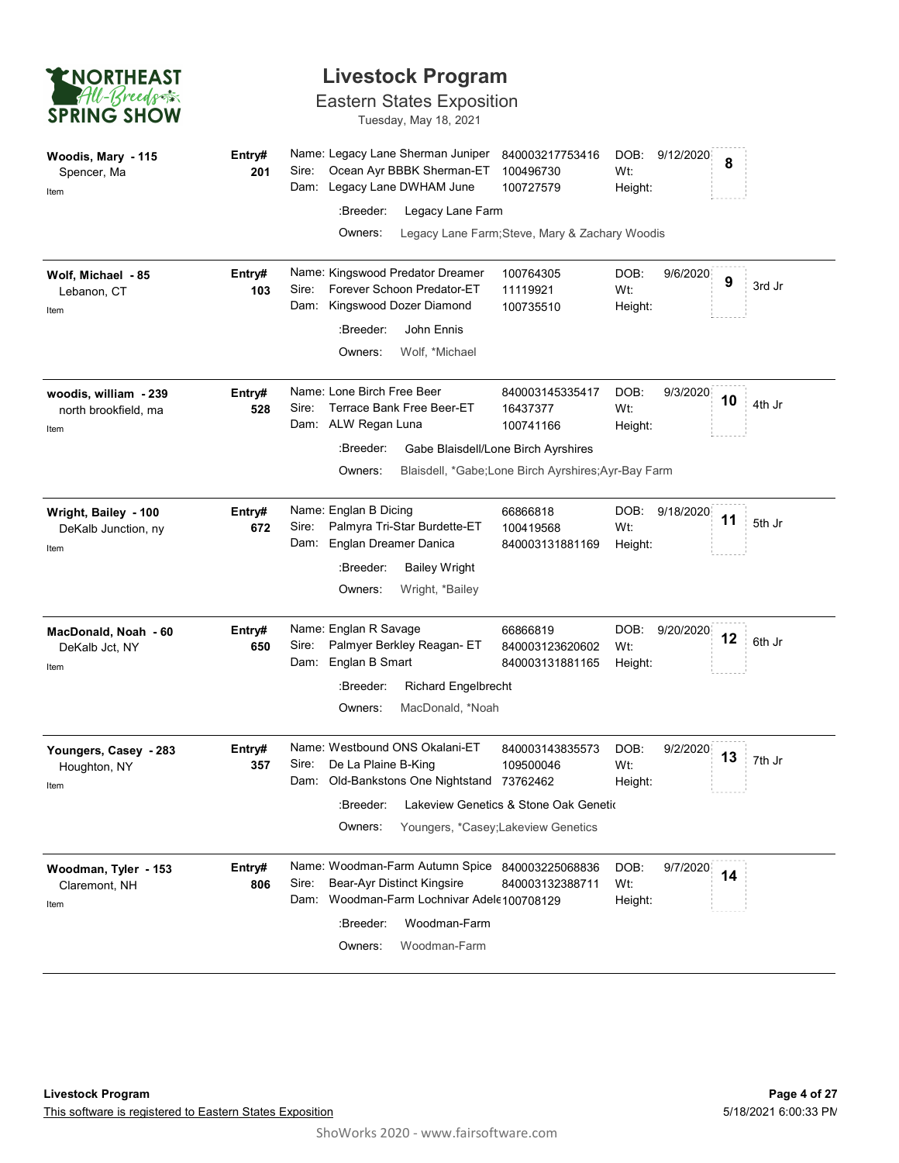| <b>ENORTHEAST</b>                                     |               |                                                                           | <b>Livestock Program</b>                                                  |                                                                             |                        |                |                       |        |
|-------------------------------------------------------|---------------|---------------------------------------------------------------------------|---------------------------------------------------------------------------|-----------------------------------------------------------------------------|------------------------|----------------|-----------------------|--------|
| All-Breeds<br><b>SPRING SHOW</b>                      |               |                                                                           | <b>Eastern States Exposition</b><br>Tuesday, May 18, 2021                 |                                                                             |                        |                |                       |        |
| Woodis, Mary - 115<br>Spencer, Ma<br>Item             | Entry#<br>201 | Name: Legacy Lane Sherman Juniper<br>Sire:<br>Dam: Legacy Lane DWHAM June | Ocean Ayr BBBK Sherman-ET                                                 | 840003217753416<br>100496730<br>100727579                                   | DOB:<br>Wt:<br>Height: | 9/12/2020      | 8                     |        |
|                                                       |               | :Breeder:                                                                 | Legacy Lane Farm                                                          |                                                                             |                        |                |                       |        |
|                                                       |               | Owners:                                                                   |                                                                           | Legacy Lane Farm; Steve, Mary & Zachary Woodis                              |                        |                |                       |        |
| Wolf, Michael - 85<br>Lebanon, CT<br>Item             | Entry#<br>103 | Name: Kingswood Predator Dreamer<br>Sire:<br>Dam:                         | Forever Schoon Predator-ET<br>Kingswood Dozer Diamond                     | 100764305<br>11119921<br>100735510                                          | DOB:<br>Wt:<br>Height: | 9/6/2020       | $\cdots$<br>9         | 3rd Jr |
|                                                       |               | :Breeder:                                                                 | John Ennis                                                                |                                                                             |                        |                |                       |        |
|                                                       |               | Owners:                                                                   | Wolf, *Michael                                                            |                                                                             |                        |                |                       |        |
| woodis, william - 239<br>north brookfield, ma<br>Item | Entry#<br>528 | Name: Lone Birch Free Beer<br>Sire:<br>Dam: ALW Regan Luna                | Terrace Bank Free Beer-ET                                                 | 840003145335417<br>16437377<br>100741166                                    | DOB:<br>Wt:<br>Height: | 9/3/2020       | $\cdots \cdots$<br>10 | 4th Jr |
|                                                       |               | :Breeder:                                                                 |                                                                           | Gabe Blaisdell/Lone Birch Ayrshires                                         |                        |                |                       |        |
|                                                       |               | Owners:                                                                   |                                                                           | Blaisdell, *Gabe;Lone Birch Ayrshires;Ayr-Bay Farm                          |                        |                |                       |        |
| Wright, Bailey - 100<br>DeKalb Junction, ny           | Entry#<br>672 | Name: Englan B Dicing<br>Sire:<br>Englan Dreamer Danica<br>Dam:           | Palmyra Tri-Star Burdette-ET                                              | 66866818<br>100419568<br>840003131881169                                    | Wt:<br>Height:         | DOB: 9/18/2020 | $\cdots$<br>11        | 5th Jr |
| Item                                                  |               | :Breeder:                                                                 | <b>Bailey Wright</b>                                                      |                                                                             |                        |                |                       |        |
|                                                       |               | Owners:                                                                   | Wright, *Bailey                                                           |                                                                             |                        |                |                       |        |
| MacDonald, Noah - 60<br>DeKalb Jct, NY                | Entry#<br>650 | Name: Englan R Savage<br>Sire:                                            | Palmyer Berkley Reagan- ET                                                | 66866819<br>840003123620602                                                 | Wt:                    | DOB: 9/20/2020 | 12                    | 6th Jr |
| Item                                                  |               | Dam: Englan B Smart                                                       |                                                                           | 840003131881165                                                             | Height:                |                |                       |        |
|                                                       |               | :Breeder:<br>Owners:                                                      | <b>Richard Engelbrecht</b><br>MacDonald, *Noah                            |                                                                             |                        |                |                       |        |
| Youngers, Casey - 283                                 | Entry#        | Name: Westbound ONS Okalani-ET<br>De La Plaine B-King<br>Sire:            |                                                                           | 840003143835573                                                             | DOB:<br>Wt:            | 9/2/2020       | 13                    | 7th Jr |
| Houghton, NY<br>Item                                  | 357           |                                                                           | Dam: Old-Bankstons One Nightstand                                         | 109500046<br>73762462                                                       | Height:                |                |                       |        |
|                                                       |               | :Breeder:<br>Owners:                                                      |                                                                           | Lakeview Genetics & Stone Oak Genetic<br>Youngers, *Casey;Lakeview Genetics |                        |                |                       |        |
| Woodman, Tyler - 153                                  | Entry#        |                                                                           |                                                                           | Name: Woodman-Farm Autumn Spice 840003225068836                             | DOB:                   | 9/7/2020       | 14                    |        |
| Claremont, NH                                         | 806           | Sire:                                                                     | Bear-Ayr Distinct Kingsire<br>Dam: Woodman-Farm Lochnivar Adele 100708129 | 840003132388711                                                             | Wt:<br>Height:         |                |                       |        |
| Item                                                  |               | :Breeder:                                                                 | Woodman-Farm                                                              |                                                                             |                        |                |                       |        |
|                                                       |               | Owners:                                                                   | Woodman-Farm                                                              |                                                                             |                        |                |                       |        |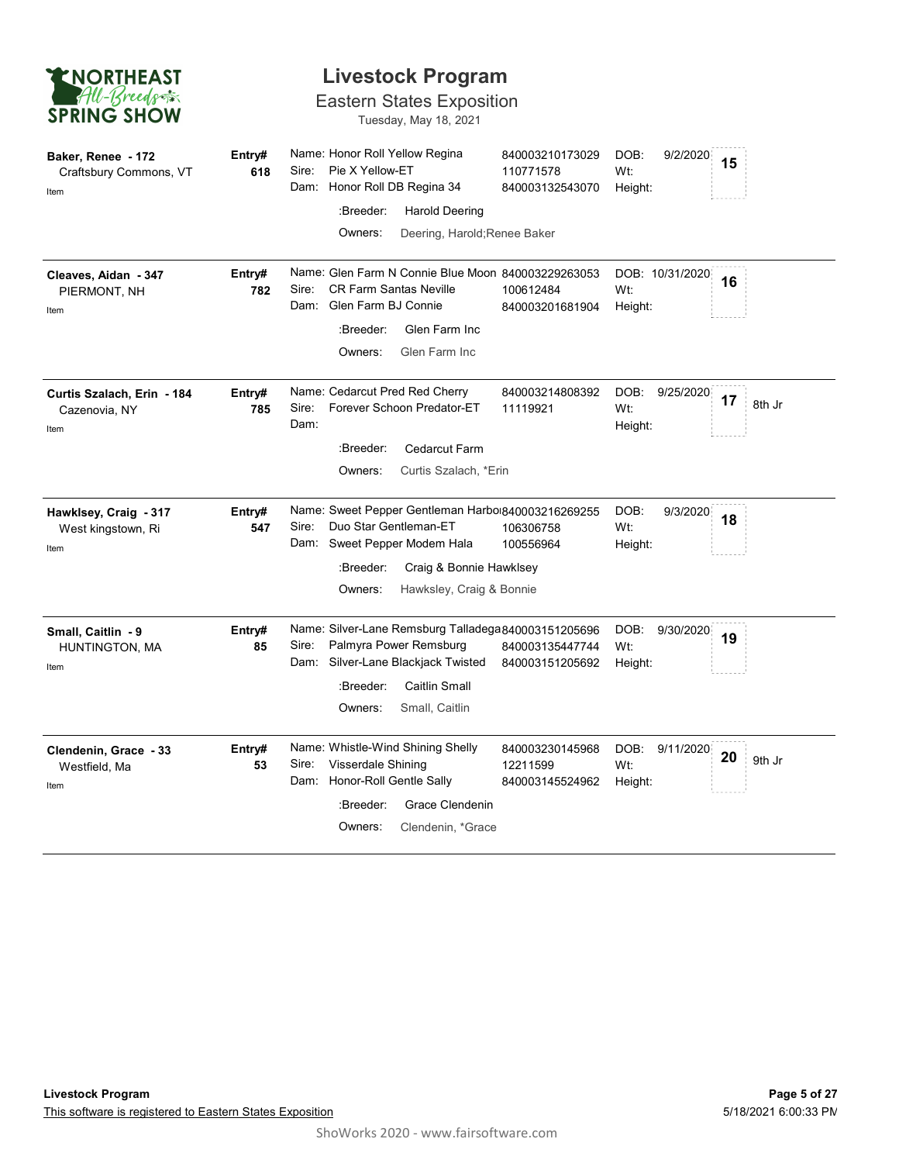

### Eastern States Exposition

| <b>ENORTHEAST</b><br>All-Breeds<br><b>SPRING SHOW</b> |               |                                                                                                                          | <b>Livestock Program</b><br><b>Eastern States Exposition</b><br>Tuesday, May 18, 2021                   |                                                                                           |                        |                 |    |        |
|-------------------------------------------------------|---------------|--------------------------------------------------------------------------------------------------------------------------|---------------------------------------------------------------------------------------------------------|-------------------------------------------------------------------------------------------|------------------------|-----------------|----|--------|
| Baker, Renee - 172<br>Craftsbury Commons, VT<br>Item  | Entry#<br>618 | Name: Honor Roll Yellow Regina<br>Pie X Yellow-ET<br>Sire:<br>Dam: Honor Roll DB Regina 34<br>:Breeder:<br>Owners:       | <b>Harold Deering</b><br>Deering, Harold; Renee Baker                                                   | 840003210173029<br>110771578<br>840003132543070                                           | DOB:<br>Wt:<br>Height: | 9/2/2020        | 15 |        |
| Cleaves, Aidan - 347<br>PIERMONT, NH<br>Item          | Entry#<br>782 | Sire:<br>Glen Farm BJ Connie<br>Dam:<br>:Breeder:<br>Owners:                                                             | <b>CR Farm Santas Neville</b><br>Glen Farm Inc<br>Glen Farm Inc                                         | Name: Glen Farm N Connie Blue Moon 840003229263053<br>100612484<br>840003201681904        | Wt:<br>Height:         | DOB: 10/31/2020 | 16 |        |
| Curtis Szalach, Erin - 184<br>Cazenovia, NY<br>Item   | Entry#<br>785 | Name: Cedarcut Pred Red Cherry<br>Sire:<br>Dam:<br>:Breeder:<br>Owners:                                                  | Forever Schoon Predator-ET<br><b>Cedarcut Farm</b><br>Curtis Szalach, *Erin                             | 840003214808392<br>11119921                                                               | DOB:<br>Wt:<br>Height: | 9/25/2020       | 17 | 8th Jr |
| Hawklsey, Craig - 317<br>West kingstown, Ri<br>Item   | Entry#<br>547 | Sire:<br>Dam:<br>:Breeder:<br>Owners:                                                                                    | Duo Star Gentleman-ET<br>Sweet Pepper Modem Hala<br>Craig & Bonnie Hawklsey<br>Hawksley, Craig & Bonnie | Name: Sweet Pepper Gentleman Harbo 840003216269255<br>106306758<br>100556964              | DOB:<br>Wt:<br>Height: | 9/3/2020        | 18 |        |
| Small, Caitlin - 9<br>HUNTINGTON, MA<br>Item          | Entry#<br>85  | Sire:<br>Dam: Silver-Lane Blackjack Twisted<br>:Breeder:<br>Owners:                                                      | Palmyra Power Remsburg<br><b>Caitlin Small</b><br>Small, Caitlin                                        | Name: Silver-Lane Remsburg Talladega840003151205696<br>840003135447744<br>840003151205692 | DOB:<br>Wt:<br>Height: | 9/30/2020       | 19 |        |
| Clendenin, Grace - 33<br>Westfield, Ma<br>Item        | Entry#<br>53  | Name: Whistle-Wind Shining Shelly<br>Visserdale Shining<br>Sire:<br>Dam: Honor-Roll Gentle Sally<br>:Breeder:<br>Owners: | Grace Clendenin<br>Clendenin, *Grace                                                                    | 840003230145968<br>12211599<br>840003145524962                                            | DOB:<br>Wt:<br>Height: | 9/11/2020       | 20 | 9th Jr |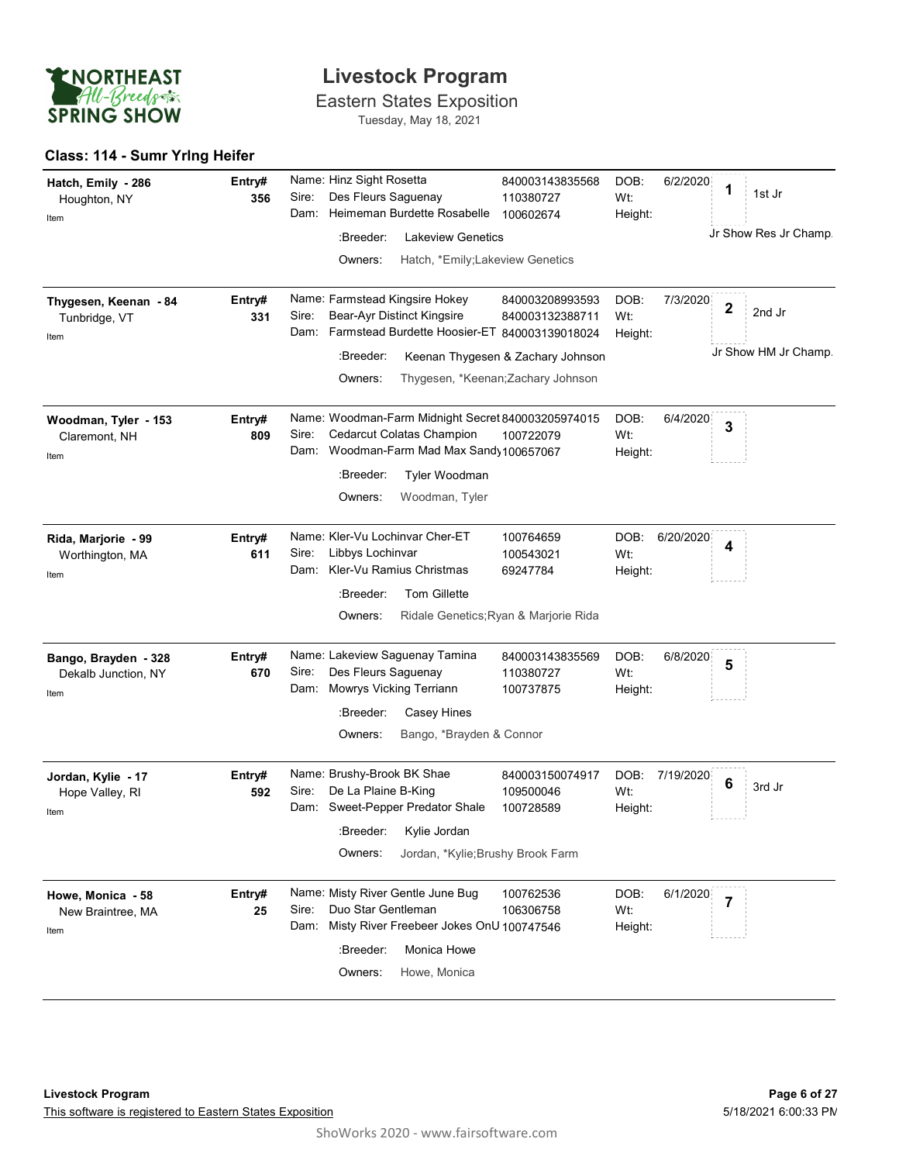

Eastern States Exposition Tuesday, May 18, 2021

### Class: 114 - Sumr Yrlng Heifer

| Hatch, Emily - 286<br>Houghton, NY                  | Entry#<br>356 | Name: Hinz Sight Rosetta<br>Des Fleurs Saguenay<br>Sire:                                                                                 | 840003143835568<br>110380727                                            | DOB:<br>6/2/2020<br>Wt:             | 1                       | 1st Jr                         |
|-----------------------------------------------------|---------------|------------------------------------------------------------------------------------------------------------------------------------------|-------------------------------------------------------------------------|-------------------------------------|-------------------------|--------------------------------|
| Item                                                |               | Heimeman Burdette Rosabelle<br>Dam:<br>:Breeder:<br><b>Lakeview Genetics</b><br>Hatch, *Emily;Lakeview Genetics<br>Owners:               | 100602674                                                               | Height:                             |                         | Jr Show Res Jr Champ.          |
| Thygesen, Keenan - 84<br>Tunbridge, VT<br>Item      | Entry#<br>331 | Name: Farmstead Kingsire Hokey<br>Sire:<br>Bear-Ayr Distinct Kingsire<br>Dam: Farmstead Burdette Hoosier-ET 840003139018024<br>:Breeder: | 840003208993593<br>840003132388711<br>Keenan Thygesen & Zachary Johnson | DOB:<br>7/3/2020<br>Wt:<br>Height:  | $\overline{\mathbf{2}}$ | 2nd Jr<br>Jr Show HM Jr Champ. |
|                                                     |               | Owners:                                                                                                                                  | Thygesen, *Keenan; Zachary Johnson                                      |                                     |                         |                                |
| Woodman, Tyler - 153<br>Claremont, NH<br>Item       | Entry#<br>809 | Name: Woodman-Farm Midnight Secret 840003205974015<br>Cedarcut Colatas Champion<br>Sire:<br>Woodman-Farm Mad Max Sandy 100657067<br>Dam: | 100722079                                                               | DOB:<br>6/4/2020<br>Wt:<br>Height:  | 3                       |                                |
|                                                     |               | :Breeder:<br>Tyler Woodman<br>Woodman, Tyler<br>Owners:                                                                                  |                                                                         |                                     |                         |                                |
| Rida, Marjorie - 99<br>Worthington, MA<br>Item      | Entry#<br>611 | Name: Kler-Vu Lochinvar Cher-ET<br>Sire:<br>Libbys Lochinvar<br>Kler-Vu Ramius Christmas<br>Dam:                                         | 100764659<br>100543021<br>69247784                                      | DOB:<br>6/20/2020<br>Wt:<br>Height: | 4                       |                                |
|                                                     |               | <b>Tom Gillette</b><br>:Breeder:<br>Owners:                                                                                              | Ridale Genetics; Ryan & Marjorie Rida                                   |                                     |                         |                                |
| Bango, Brayden - 328<br>Dekalb Junction, NY<br>Item | Entry#<br>670 | Name: Lakeview Saguenay Tamina<br>Des Fleurs Saguenay<br>Sire:<br>Mowrys Vicking Terriann<br>Dam:                                        | 840003143835569<br>110380727<br>100737875                               | DOB:<br>6/8/2020<br>Wt:<br>Height:  | 5                       |                                |
|                                                     |               | :Breeder:<br><b>Casey Hines</b><br>Bango, *Brayden & Connor<br>Owners:                                                                   |                                                                         |                                     |                         |                                |
|                                                     |               | Name: Brushy-Brook BK Shae                                                                                                               |                                                                         |                                     |                         |                                |
| Jordan, Kylie - 17<br>Hope Valley, RI<br>Item       | Entry#<br>592 | Sire:<br>De La Plaine B-King<br>Dam: Sweet-Pepper Predator Shale                                                                         | 840003150074917<br>109500046<br>100728589                               | DOB:<br>7/19/2020<br>Wt:<br>Height: | 6                       | 3rd Jr                         |
|                                                     |               | :Breeder:<br>Kylie Jordan<br>Jordan, *Kylie; Brushy Brook Farm<br>Owners:                                                                |                                                                         |                                     |                         |                                |
| Howe, Monica - 58<br>New Braintree, MA<br>Item      | Entry#<br>25  | Name: Misty River Gentle June Bug<br>Duo Star Gentleman<br>Sire:<br>Misty River Freebeer Jokes OnU 100747546<br>Dam:                     | 100762536<br>106306758                                                  | DOB:<br>6/1/2020<br>Wt:<br>Height:  | $\overline{7}$          |                                |
|                                                     |               | Monica Howe<br>:Breeder:<br>Howe, Monica<br>Owners:                                                                                      |                                                                         |                                     |                         |                                |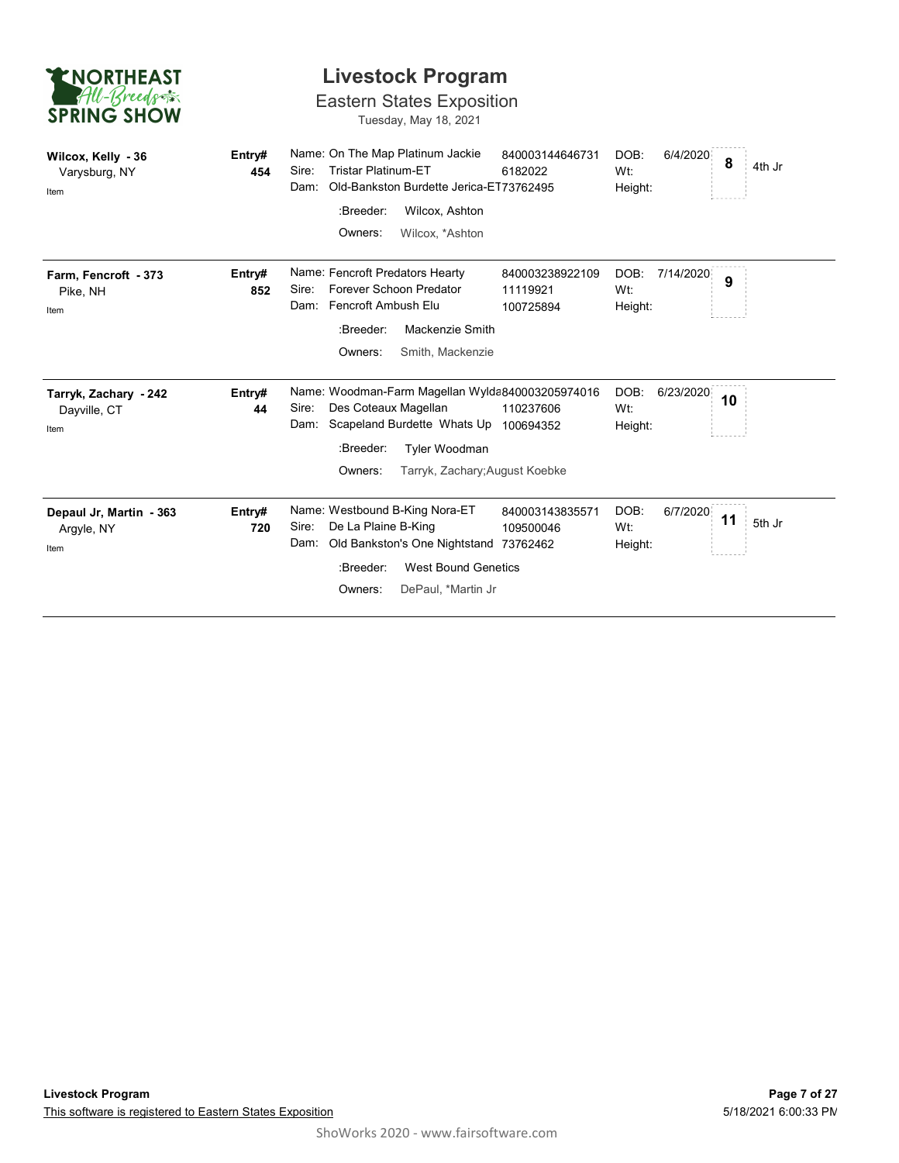| <b>ENORTHEAST</b><br>All-Breeds<br><b>SPRING SHOW</b> |               | <b>Livestock Program</b><br><b>Eastern States Exposition</b><br>Tuesday, May 18, 2021                                                                                                                                                                                              |
|-------------------------------------------------------|---------------|------------------------------------------------------------------------------------------------------------------------------------------------------------------------------------------------------------------------------------------------------------------------------------|
| Wilcox, Kelly - 36<br>Varysburg, NY<br>Item           | Entry#<br>454 | Name: On The Map Platinum Jackie<br>840003144646731<br>DOB:<br>6/4/2020<br>8<br>4th Jr<br><b>Tristar Platinum-ET</b><br>Sire:<br>6182022<br>Wt:<br>Old-Bankston Burdette Jerica-ET73762495<br>Dam:<br>Height:<br>Wilcox, Ashton<br>:Breeder:<br>Owners:<br>Wilcox, *Ashton         |
| Farm, Fencroft - 373<br>Pike, NH<br>Item              | Entry#<br>852 | Name: Fencroft Predators Hearty<br>7/14/2020<br>840003238922109<br>DOB:<br>9<br>Forever Schoon Predator<br>Sire:<br>Wt:<br>11119921<br>Fencroft Ambush Elu<br>Dam:<br>100725894<br>Height:<br>:Breeder:<br>Mackenzie Smith<br>Owners:<br>Smith, Mackenzie                          |
| Tarryk, Zachary - 242<br>Dayville, CT<br>Item         | Entry#<br>44  | Name: Woodman-Farm Magellan Wylda840003205974016<br>DOB:<br>6/23/2020<br>10<br>Des Coteaux Magellan<br>Sire:<br>Wt:<br>110237606<br>Scapeland Burdette Whats Up 100694352<br>Dam:<br>Height:<br>:Breeder:<br>Tyler Woodman<br>Owners:<br>Tarryk, Zachary; August Koebke            |
| Depaul Jr, Martin - 363<br>Argyle, NY<br>Item         | Entry#<br>720 | Name: Westbound B-King Nora-ET<br>DOB:<br>6/7/2020<br>840003143835571<br>11<br>5th Jr<br>De La Plaine B-King<br>Sire:<br>109500046<br>Wt:<br>Old Bankston's One Nightstand 73762462<br>Dam:<br>Height:<br><b>West Bound Genetics</b><br>:Breeder:<br>DePaul, *Martin Jr<br>Owners: |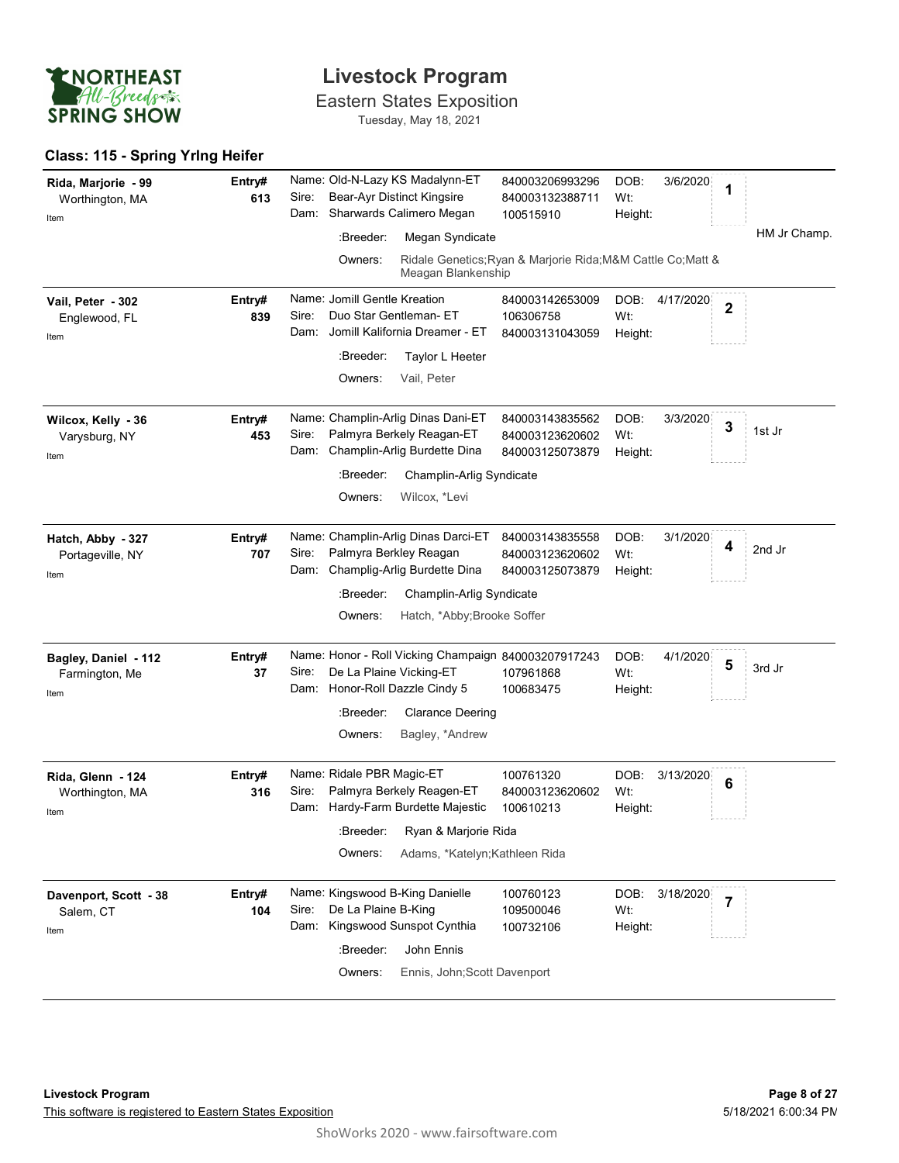

### Class: 115 - Spring Yrlng Heifer

| <b>ENORTHEAST</b><br>All-Breeds                |               | <b>Livestock Program</b><br><b>Eastern States Exposition</b>                                                                               |                                                              |                                     |                   |
|------------------------------------------------|---------------|--------------------------------------------------------------------------------------------------------------------------------------------|--------------------------------------------------------------|-------------------------------------|-------------------|
| <b>SPRING SHOW</b>                             |               | Tuesday, May 18, 2021                                                                                                                      |                                                              |                                     |                   |
| Class: 115 - Spring Yrlng Heifer               |               |                                                                                                                                            |                                                              |                                     |                   |
| Rida, Marjorie - 99<br>Worthington, MA<br>Item | Entry#<br>613 | Name: Old-N-Lazy KS Madalynn-ET<br>Bear-Ayr Distinct Kingsire<br>Sire:<br>Sharwards Calimero Megan<br>Dam:<br>Megan Syndicate<br>:Breeder: | 840003206993296<br>840003132388711<br>100515910              | DOB:<br>3/6/2020<br>Wt:<br>Height:  | 1<br>HM Jr Champ. |
|                                                |               | Owners:<br>Meagan Blankenship                                                                                                              | Ridale Genetics; Ryan & Marjorie Rida; M&M Cattle Co; Matt & |                                     |                   |
| Vail, Peter - 302<br>Englewood, FL<br>Item     | Entry#<br>839 | Name: Jomill Gentle Kreation<br>Duo Star Gentleman- ET<br>Sire:<br>Jomill Kalifornia Dreamer - ET<br>Dam:                                  | 840003142653009<br>106306758<br>840003131043059              | DOB:<br>4/17/2020<br>Wt:<br>Height: | $\overline{2}$    |
|                                                |               | :Breeder:<br>Taylor L Heeter<br>Vail, Peter<br>Owners:                                                                                     |                                                              |                                     |                   |
| Wilcox, Kelly - 36<br>Varysburg, NY<br>Item    | Entry#<br>453 | Name: Champlin-Arlig Dinas Dani-ET<br>Palmyra Berkely Reagan-ET<br>Sire:<br>Dam: Champlin-Arlig Burdette Dina                              | 840003143835562<br>840003123620602<br>840003125073879        | DOB:<br>3/3/2020<br>Wt:<br>Height:  | 3<br>1st Jr       |
|                                                |               | :Breeder:<br>Champlin-Arlig Syndicate<br>Wilcox, *Levi<br>Owners:                                                                          |                                                              |                                     |                   |
| Hatch, Abby - 327<br>Portageville, NY<br>Item  | Entry#<br>707 | Name: Champlin-Arlig Dinas Darci-ET<br>Palmyra Berkley Reagan<br>Sire:<br>Champlig-Arlig Burdette Dina<br>Dam:                             | 840003143835558<br>840003123620602<br>840003125073879        | DOB:<br>3/1/2020<br>Wt:<br>Height:  | 4<br>2nd Jr       |
|                                                |               | :Breeder:<br>Champlin-Arlig Syndicate<br>Hatch, *Abby; Brooke Soffer<br>Owners:                                                            |                                                              |                                     |                   |
| Bagley, Daniel - 112<br>Farmington, Me<br>Item | Entry#<br>37  | Name: Honor - Roll Vicking Champaign 840003207917243<br>De La Plaine Vicking-ET<br>Sire:<br>Dam: Honor-Roll Dazzle Cindy 5                 | 107961868<br>100683475                                       | DOB:<br>4/1/2020<br>Wt:<br>Height:  | 5<br>3rd Jr       |
|                                                |               | :Breeder:<br><b>Clarance Deering</b><br>Bagley, *Andrew<br>Owners:                                                                         |                                                              |                                     |                   |
| Rida, Glenn - 124<br>Worthington, MA<br>Item   | Entry#<br>316 | Name: Ridale PBR Magic-ET<br>Palmyra Berkely Reagen-ET<br>Sire:<br>Hardy-Farm Burdette Majestic<br>Dam:                                    | 100761320<br>840003123620602<br>100610213                    | 3/13/2020<br>DOB:<br>Wt:<br>Height: | 6                 |
|                                                |               | :Breeder:<br>Ryan & Marjorie Rida<br>Adams, *Katelyn; Kathleen Rida<br>Owners:                                                             |                                                              |                                     |                   |
| Davenport, Scott - 38<br>Salem, CT<br>Item     | Entry#<br>104 | Name: Kingswood B-King Danielle<br>Sire:<br>De La Plaine B-King<br>Dam: Kingswood Sunspot Cynthia                                          | 100760123<br>109500046<br>100732106                          | DOB: 3/18/2020<br>Wt:<br>Height:    | $\overline{7}$    |
|                                                |               | :Breeder:<br>John Ennis<br>Ennis, John; Scott Davenport<br>Owners:                                                                         |                                                              |                                     |                   |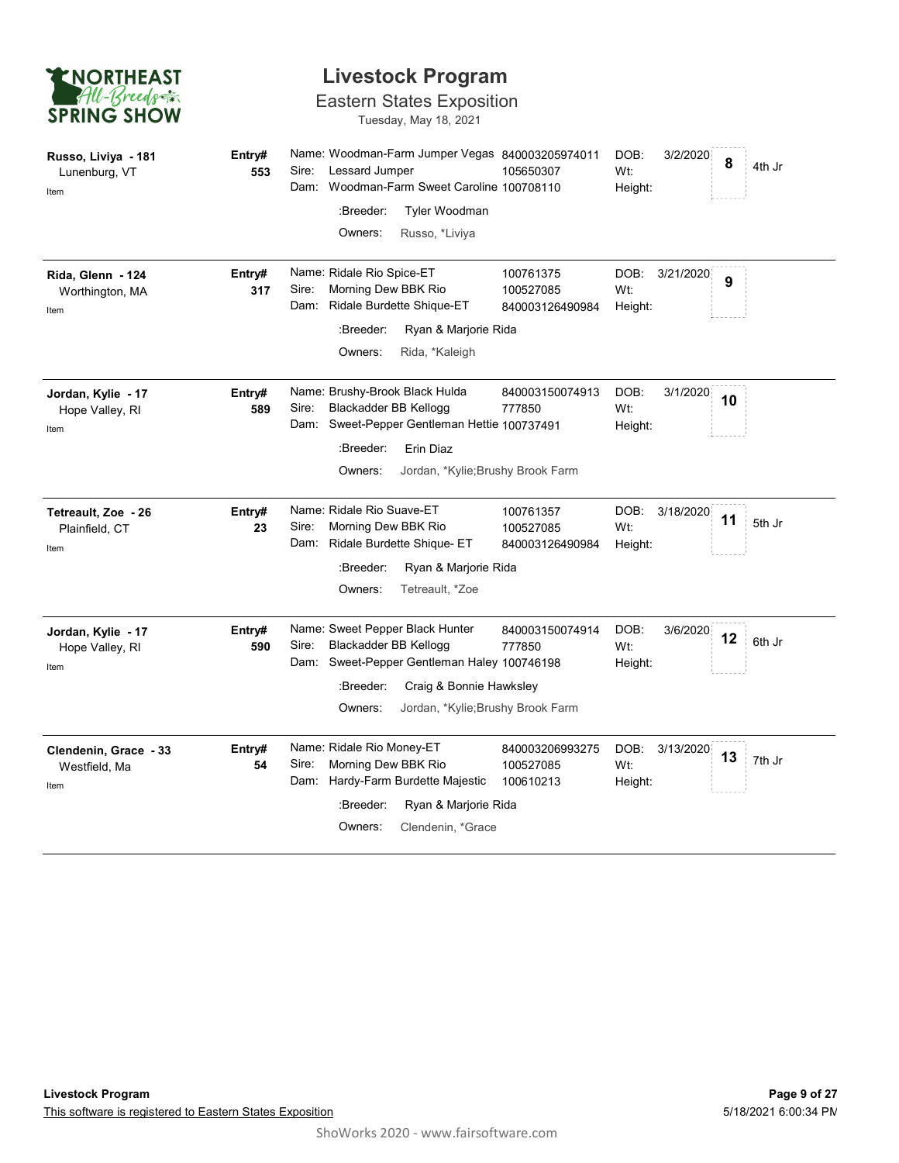| <b>ENORTHEAST</b>  |
|--------------------|
| All-Breeds         |
| <b>SPRING SHOW</b> |

### Eastern States Exposition

| <b>ENORTHEAST</b>                              |               |                                                                                                | <b>Livestock Program</b>                                                                 |                                           |                        |           |    |        |
|------------------------------------------------|---------------|------------------------------------------------------------------------------------------------|------------------------------------------------------------------------------------------|-------------------------------------------|------------------------|-----------|----|--------|
| All-Breeds<br><b>SPRING SHOW</b>               |               |                                                                                                | <b>Eastern States Exposition</b><br>Tuesday, May 18, 2021                                |                                           |                        |           |    |        |
| Russo, Liviya - 181<br>Lunenburg, VT<br>Item   | Entry#<br>553 | Lessard Jumper<br>Sire:<br>Dam:                                                                | Name: Woodman-Farm Jumper Vegas 840003205974011<br>Woodman-Farm Sweet Caroline 100708110 | 105650307                                 | DOB:<br>Wt:<br>Height: | 3/2/2020  | 8  | 4th Jr |
|                                                |               | :Breeder:<br>Owners:                                                                           | <b>Tyler Woodman</b><br>Russo, *Liviya                                                   |                                           |                        |           |    |        |
| Rida, Glenn - 124<br>Worthington, MA<br>Item   | Entry#<br>317 | Name: Ridale Rio Spice-ET<br>Sire:<br>Morning Dew BBK Rio<br>Dam:                              | Ridale Burdette Shique-ET                                                                | 100761375<br>100527085<br>840003126490984 | DOB:<br>Wt:<br>Height: | 3/21/2020 | 9  |        |
|                                                |               | :Breeder:<br>Owners:                                                                           | Ryan & Marjorie Rida<br>Rida, *Kaleigh                                                   |                                           |                        |           |    |        |
| Jordan, Kylie - 17<br>Hope Valley, RI<br>Item  | Entry#<br>589 | Name: Brushy-Brook Black Hulda<br>Blackadder BB Kellogg<br>Sire:<br>Dam:                       | Sweet-Pepper Gentleman Hettie 100737491                                                  | 840003150074913<br>777850                 | DOB:<br>Wt:<br>Height: | 3/1/2020  | 10 |        |
|                                                |               | :Breeder:<br>Owners:                                                                           | Erin Diaz<br>Jordan, *Kylie; Brushy Brook Farm                                           |                                           |                        |           |    |        |
| Tetreault, Zoe - 26<br>Plainfield, CT<br>Item  | Entry#<br>23  | Name: Ridale Rio Suave-ET<br>Morning Dew BBK Rio<br>Sire:<br>Dam:                              | Ridale Burdette Shique- ET                                                               | 100761357<br>100527085<br>840003126490984 | DOB:<br>Wt:<br>Height: | 3/18/2020 | 11 | 5th Jr |
|                                                |               | :Breeder:<br>Owners:                                                                           | Ryan & Marjorie Rida<br>Tetreault, *Zoe                                                  |                                           |                        |           |    |        |
| Jordan, Kylie - 17<br>Hope Valley, RI<br>Item  | Entry#<br>590 | Name: Sweet Pepper Black Hunter<br>Blackadder BB Kellogg<br>Sire:<br>Dam:                      | Sweet-Pepper Gentleman Haley 100746198                                                   | 840003150074914<br>777850                 | DOB:<br>Wt:<br>Height: | 3/6/2020  | 12 | 6th Jr |
|                                                |               | :Breeder:<br>Owners:                                                                           | Craig & Bonnie Hawksley<br>Jordan, *Kylie; Brushy Brook Farm                             |                                           |                        |           |    |        |
| Clendenin, Grace - 33<br>Westfield, Ma<br>Item | Entry#<br>54  | Name: Ridale Rio Money-ET<br>Morning Dew BBK Rio<br>Sire:<br>Dam: Hardy-Farm Burdette Majestic |                                                                                          | 840003206993275<br>100527085<br>100610213 | DOB:<br>Wt:<br>Height: | 3/13/2020 | 13 | 7th Jr |
|                                                |               | :Breeder:<br>Owners:                                                                           | Ryan & Marjorie Rida<br>Clendenin, *Grace                                                |                                           |                        |           |    |        |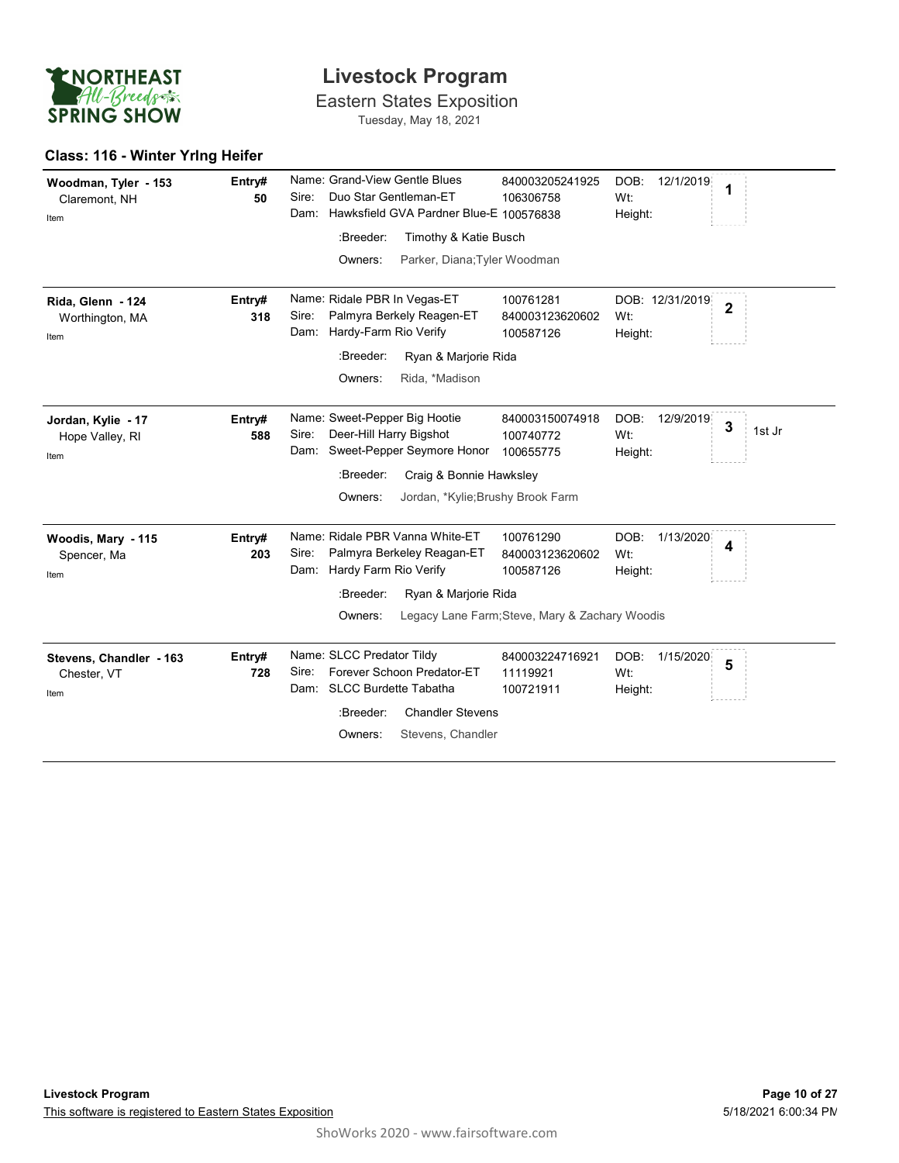

### Class: 116 - Winter Yrlng Heifer

| <b>ENORTHEAST</b>                              |               | <b>Livestock Program</b>                                                                                                                                                                         |                                                                                             |                                     |                         |
|------------------------------------------------|---------------|--------------------------------------------------------------------------------------------------------------------------------------------------------------------------------------------------|---------------------------------------------------------------------------------------------|-------------------------------------|-------------------------|
| All-Breeds<br><b>SPRING SHOW</b>               |               | <b>Eastern States Exposition</b><br>Tuesday, May 18, 2021                                                                                                                                        |                                                                                             |                                     |                         |
| Class: 116 - Winter Yring Heifer               |               |                                                                                                                                                                                                  |                                                                                             |                                     |                         |
| Woodman, Tyler - 153<br>Claremont, NH<br>Item  | Entry#<br>50  | Name: Grand-View Gentle Blues<br>Duo Star Gentleman-ET<br>Sire:<br>Dam: Hawksfield GVA Pardner Blue-E 100576838<br>:Breeder:<br>Timothy & Katie Busch<br>Parker, Diana; Tyler Woodman<br>Owners: | 840003205241925<br>106306758                                                                | DOB:<br>12/1/2019<br>Wt:<br>Height: | 1                       |
| Rida, Glenn - 124<br>Worthington, MA<br>Item   | Entry#<br>318 | Name: Ridale PBR In Vegas-ET<br>Sire:<br>Palmyra Berkely Reagen-ET<br>Dam: Hardy-Farm Rio Verify<br>:Breeder:<br>Ryan & Marjorie Rida<br>Rida, *Madison<br>Owners:                               | 100761281<br>840003123620602<br>100587126                                                   | DOB: 12/31/2019<br>Wt:<br>Height:   | $\overline{\mathbf{2}}$ |
| Jordan, Kylie - 17<br>Hope Valley, RI<br>Item  | Entry#<br>588 | Name: Sweet-Pepper Big Hootie<br>Deer-Hill Harry Bigshot<br>Sire:<br>Dam: Sweet-Pepper Seymore Honor<br>Craig & Bonnie Hawksley<br>:Breeder:<br>Jordan, *Kylie; Brushy Brook Farm<br>Owners:     | 840003150074918<br>100740772<br>100655775                                                   | DOB: 12/9/2019<br>Wt:<br>Height:    | 3<br>1st Jr             |
| Woodis, Mary - 115<br>Spencer, Ma<br>Item      | Entry#<br>203 | Name: Ridale PBR Vanna White-ET<br>Palmyra Berkeley Reagan-ET<br>Sire:<br>Dam: Hardy Farm Rio Verify<br>:Breeder:<br>Ryan & Marjorie Rida<br>Owners:                                             | 100761290<br>840003123620602<br>100587126<br>Legacy Lane Farm; Steve, Mary & Zachary Woodis | DOB:<br>1/13/2020<br>Wt:<br>Height: | 4                       |
| Stevens, Chandler - 163<br>Chester, VT<br>Item | Entry#<br>728 | Name: SLCC Predator Tildy<br>Forever Schoon Predator-ET<br>Sire:<br>Dam: SLCC Burdette Tabatha<br>:Breeder:<br><b>Chandler Stevens</b><br>Stevens, Chandler<br>Owners:                           | 840003224716921<br>11119921<br>100721911                                                    | DOB:<br>1/15/2020<br>Wt:<br>Height: | 5                       |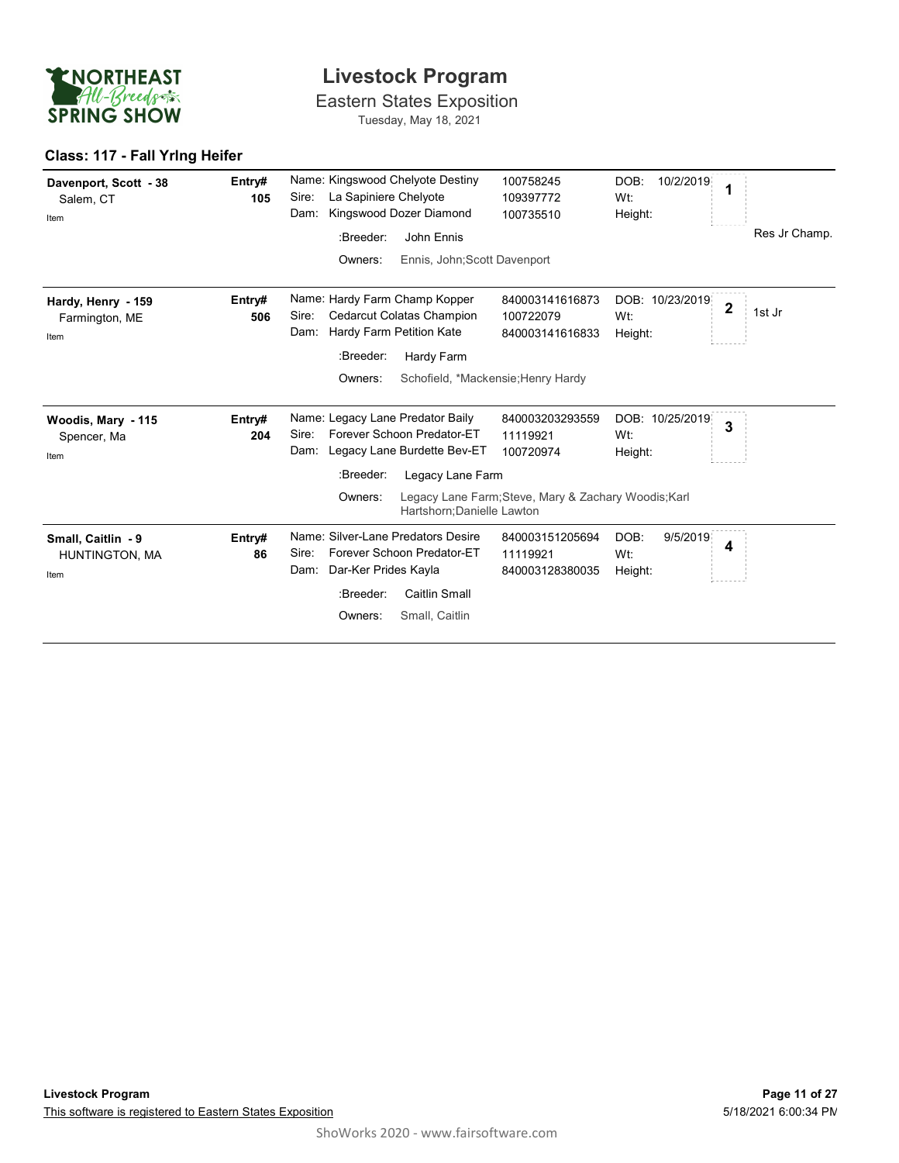

### Class: 117 - Fall Yrlng Heifer

| <b>ENORTHEAST</b><br>All-Breeds              |               | <b>Livestock Program</b>                                                                                       |                                                      |                                     |                                   |
|----------------------------------------------|---------------|----------------------------------------------------------------------------------------------------------------|------------------------------------------------------|-------------------------------------|-----------------------------------|
| <b>SPRING SHOW</b>                           |               | <b>Eastern States Exposition</b><br>Tuesday, May 18, 2021                                                      |                                                      |                                     |                                   |
| Class: 117 - Fall Yring Heifer               |               |                                                                                                                |                                                      |                                     |                                   |
| Davenport, Scott - 38<br>Salem, CT<br>Item   | Entry#<br>105 | Name: Kingswood Chelyote Destiny<br>La Sapiniere Chelyote<br>Sire:<br>Kingswood Dozer Diamond<br>Dam:          | 100758245<br>109397772<br>100735510                  | DOB:<br>10/2/2019<br>Wt:<br>Height: | 1                                 |
|                                              |               | John Ennis<br>:Breeder:                                                                                        |                                                      |                                     | Res Jr Champ.                     |
|                                              |               | Ennis, John; Scott Davenport<br>Owners:                                                                        |                                                      |                                     |                                   |
| Hardy, Henry - 159<br>Farmington, ME<br>Item | Entry#<br>506 | Name: Hardy Farm Champ Kopper<br>Sire:<br>Cedarcut Colatas Champion<br>Hardy Farm Petition Kate<br>Dam:        | 840003141616873<br>100722079<br>840003141616833      | DOB: 10/23/2019<br>Wt:<br>Height:   | $\overline{\mathbf{2}}$<br>1st Jr |
|                                              |               | :Breeder:<br>Hardy Farm                                                                                        |                                                      |                                     |                                   |
|                                              |               | Owners:                                                                                                        | Schofield, *Mackensie; Henry Hardy                   |                                     |                                   |
| Woodis, Mary - 115<br>Spencer, Ma<br>Item    | Entry#<br>204 | Name: Legacy Lane Predator Baily<br>Forever Schoon Predator-ET<br>Sire:<br>Legacy Lane Burdette Bev-ET<br>Dam: | 840003203293559<br>11119921<br>100720974             | DOB: 10/25/2019<br>Wt:<br>Height:   | 3                                 |
|                                              |               | Legacy Lane Farm<br>:Breeder:                                                                                  |                                                      |                                     |                                   |
|                                              |               | Owners:<br>Hartshorn; Danielle Lawton                                                                          | Legacy Lane Farm; Steve, Mary & Zachary Woodis; Karl |                                     |                                   |
| Small, Caitlin - 9<br>HUNTINGTON, MA<br>Item | Entry#<br>86  | Name: Silver-Lane Predators Desire<br>Forever Schoon Predator-ET<br>Sire:<br>Dam: Dar-Ker Prides Kayla         | 840003151205694<br>11119921<br>840003128380035       | DOB:<br>9/5/2019<br>Wt:<br>Height:  | $\overline{\mathbf{4}}$           |
|                                              |               | <b>Caitlin Small</b><br>:Breeder:                                                                              |                                                      |                                     |                                   |
|                                              |               | Small, Caitlin<br>Owners:                                                                                      |                                                      |                                     |                                   |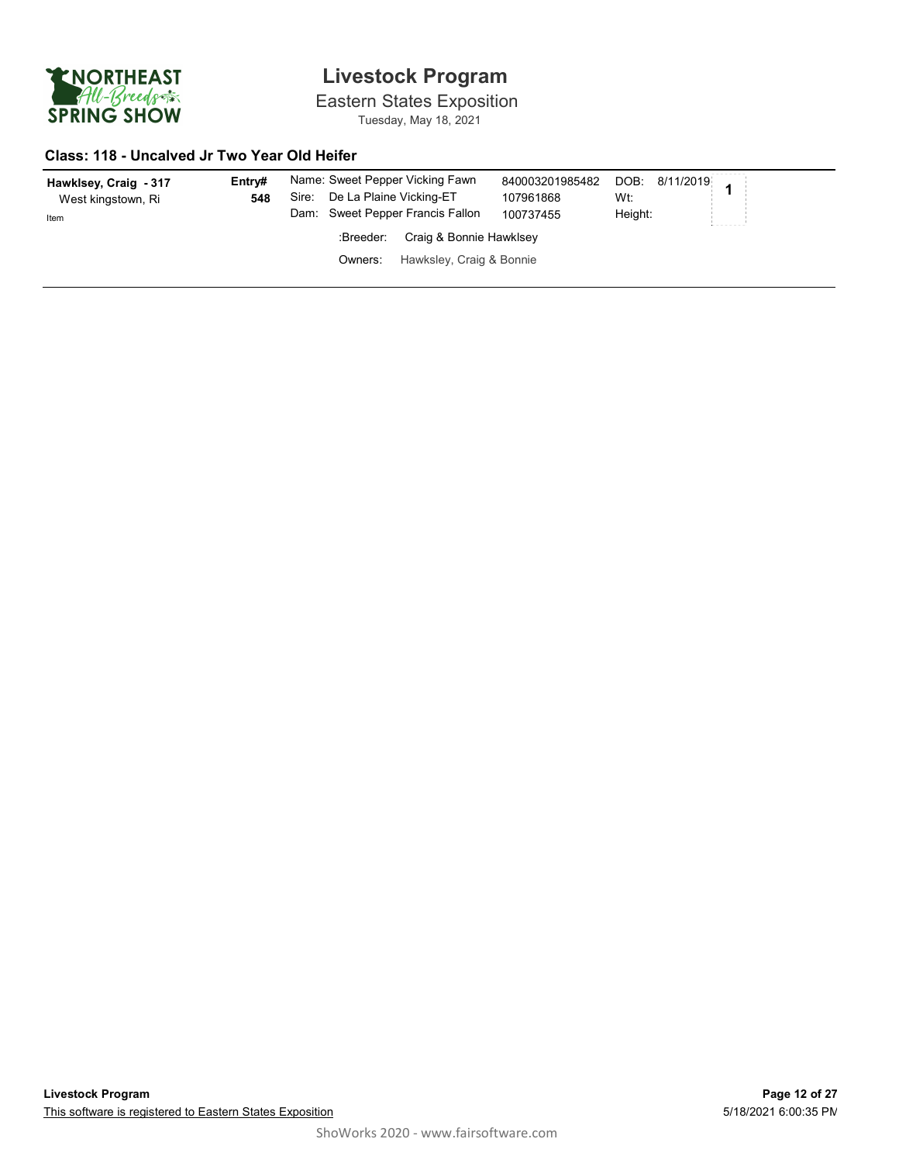

Eastern States Exposition Tuesday, May 18, 2021

#### Class: 118 - Uncalved Jr Two Year Old Heifer

| Hawklsey, Craig - 317<br>West kingstown, Ri<br>Item | Entrv#<br>548 | Name: Sweet Pepper Vicking Fawn<br>De La Plaine Vicking-ET<br>Sire:<br>Dam: Sweet Pepper Francis Fallon | 840003201985482<br>107961868<br>100737455 | --------<br>DOB: 8/11/2019 1<br>Wt:<br>Height: |
|-----------------------------------------------------|---------------|---------------------------------------------------------------------------------------------------------|-------------------------------------------|------------------------------------------------|
|                                                     |               | Craig & Bonnie Hawklsey<br>:Breeder:                                                                    |                                           | .                                              |
|                                                     |               | Hawksley, Craig & Bonnie<br>Owners:                                                                     |                                           |                                                |
|                                                     |               |                                                                                                         |                                           |                                                |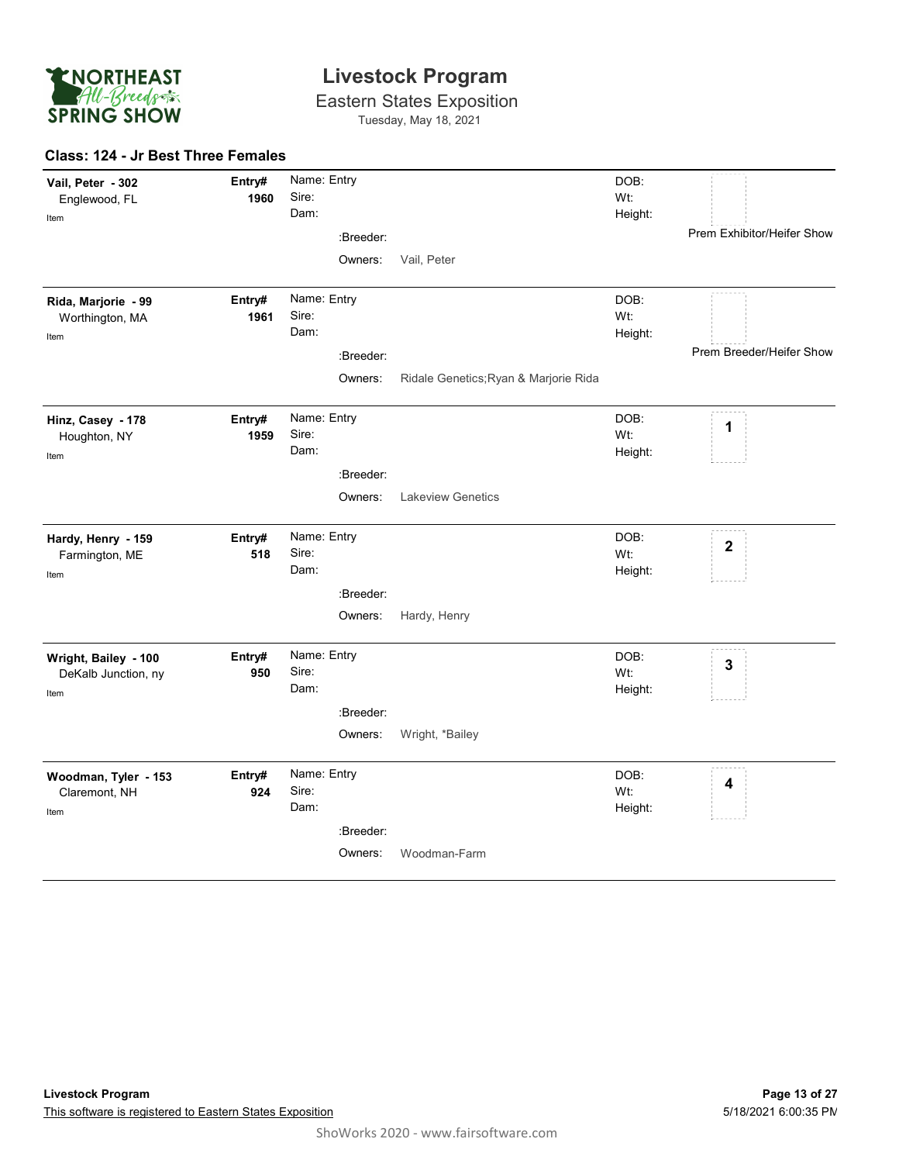

Eastern States Exposition Tuesday, May 18, 2021

#### Class: 124 - Jr Best Three Females

| Vail, Peter - 302<br>Englewood, FL<br>Item          | Entry#<br>1960 | Name: Entry<br>Sire:<br>Dam: |                                       | DOB:<br>Wt:<br>Height: |                                                                                                                                                                                                                                                                                                                                                                                                                                                                                    |
|-----------------------------------------------------|----------------|------------------------------|---------------------------------------|------------------------|------------------------------------------------------------------------------------------------------------------------------------------------------------------------------------------------------------------------------------------------------------------------------------------------------------------------------------------------------------------------------------------------------------------------------------------------------------------------------------|
|                                                     |                | :Breeder:<br>Owners:         | Vail, Peter                           |                        | Prem Exhibitor/Heifer Show                                                                                                                                                                                                                                                                                                                                                                                                                                                         |
| Rida, Marjorie - 99<br>Worthington, MA<br>Item      | Entry#<br>1961 | Name: Entry<br>Sire:<br>Dam: |                                       | DOB:<br>Wt:<br>Height: | $\label{eq:1} \begin{split} \mathcal{L}_{\mathcal{A}}(\mathcal{A}) & = \mathcal{L}_{\mathcal{A}}(\mathcal{A}) \mathcal{A}(\mathcal{A}) \mathcal{A}(\mathcal{A}) \mathcal{A}(\mathcal{A}) \mathcal{A}(\mathcal{A}) \mathcal{A}(\mathcal{A}) \mathcal{A}(\mathcal{A}) \mathcal{A}(\mathcal{A}) \mathcal{A}(\mathcal{A}) \mathcal{A}(\mathcal{A}) \mathcal{A}(\mathcal{A}) \mathcal{A}(\mathcal{A}) \mathcal{A}(\mathcal{A}) \mathcal{A}(\mathcal{A}) \mathcal{A}(\mathcal{A}) \math$ |
|                                                     |                | :Breeder:<br>Owners:         | Ridale Genetics; Ryan & Marjorie Rida |                        | Prem Breeder/Heifer Show                                                                                                                                                                                                                                                                                                                                                                                                                                                           |
| Hinz, Casey - 178<br>Houghton, NY<br>Item           | Entry#<br>1959 | Name: Entry<br>Sire:<br>Dam: |                                       | DOB:<br>Wt:<br>Height: | $\cdots \cdots \cdots \cdots$<br>1                                                                                                                                                                                                                                                                                                                                                                                                                                                 |
|                                                     |                | :Breeder:<br>Owners:         | <b>Lakeview Genetics</b>              |                        |                                                                                                                                                                                                                                                                                                                                                                                                                                                                                    |
| Hardy, Henry - 159<br>Farmington, ME<br>Item        | Entry#<br>518  | Name: Entry<br>Sire:<br>Dam: |                                       | DOB:<br>Wt:<br>Height: | $\label{eq:2.1} \begin{array}{cccccccccc} \cdots & \cdots & \cdots & \cdots & \cdots \end{array}$<br>$\mathbf 2$                                                                                                                                                                                                                                                                                                                                                                   |
|                                                     |                | :Breeder:<br>Owners:         | Hardy, Henry                          |                        |                                                                                                                                                                                                                                                                                                                                                                                                                                                                                    |
| Wright, Bailey - 100<br>DeKalb Junction, ny<br>Item | Entry#<br>950  | Name: Entry<br>Sire:<br>Dam: |                                       | DOB:<br>Wt:<br>Height: | $- - - - -$<br>3                                                                                                                                                                                                                                                                                                                                                                                                                                                                   |
|                                                     |                | :Breeder:<br>Owners:         | Wright, *Bailey                       |                        |                                                                                                                                                                                                                                                                                                                                                                                                                                                                                    |
| Woodman, Tyler - 153<br>Claremont, NH<br>Item       | Entry#<br>924  | Name: Entry<br>Sire:<br>Dam: |                                       | DOB:<br>Wt:<br>Height: | $\label{eq:1.1} \begin{array}{cccccccccccccc} \cdots & \cdots & \cdots & \cdots & \cdots \end{array}$<br>4                                                                                                                                                                                                                                                                                                                                                                         |
|                                                     |                | :Breeder:<br>Owners:         | Woodman-Farm                          |                        |                                                                                                                                                                                                                                                                                                                                                                                                                                                                                    |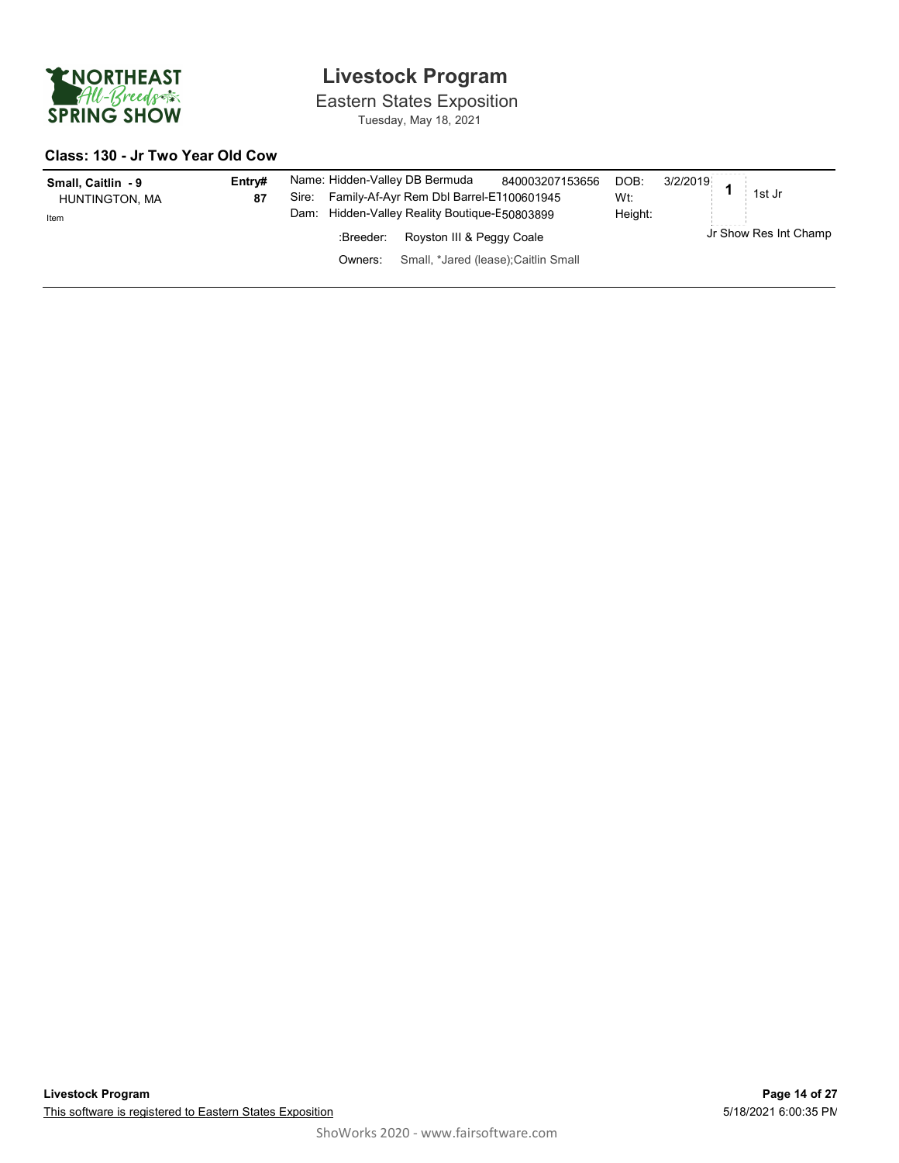

Eastern States Exposition Tuesday, May 18, 2021

#### Class: 130 - Jr Two Year Old Cow

| Small, Caitlin - 9<br>HUNTINGTON, MA<br>Item | Entrv#<br>87 | Name: Hidden-Valley DB Bermuda<br>Sire:<br>Dam: | Family-Af-Ayr Rem Dbl Barrel-E1100601945<br>Hidden-Valley Reality Boutique-E50803899 | 840003207153656                      | DOB:<br>Wt:<br>Height: | --------<br>3/2/2019<br>1st Jr<br>-------- |  |
|----------------------------------------------|--------------|-------------------------------------------------|--------------------------------------------------------------------------------------|--------------------------------------|------------------------|--------------------------------------------|--|
|                                              |              | :Breeder:                                       | Royston III & Peggy Coale                                                            |                                      |                        | Jr Show Res Int Champ                      |  |
|                                              |              | Owners:                                         |                                                                                      | Small, *Jared (lease); Caitlin Small |                        |                                            |  |
|                                              |              |                                                 |                                                                                      |                                      |                        |                                            |  |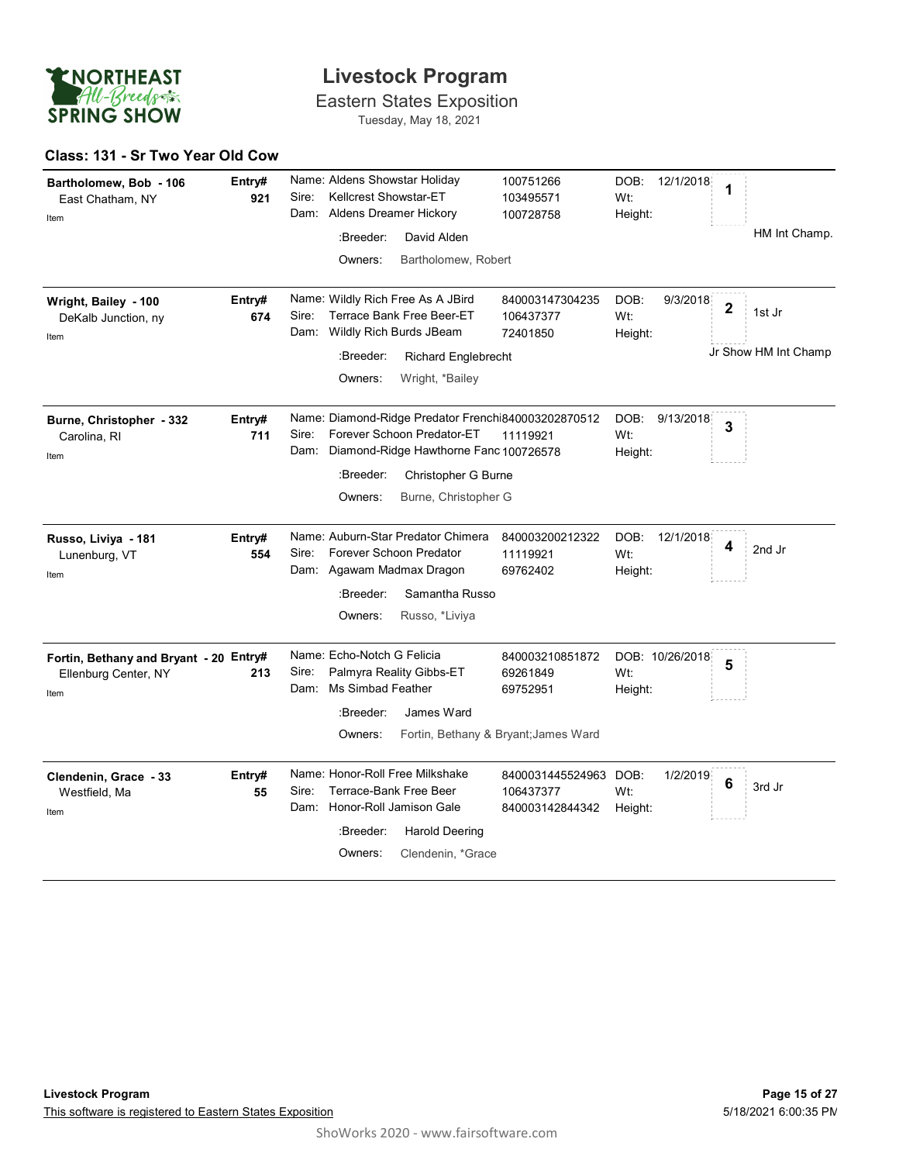

Eastern States Exposition Tuesday, May 18, 2021

#### Class: 131 - Sr Two Year Old Cow

| Bartholomew, Bob - 106<br>East Chatham, NY<br>Item                     | Entry#<br>921 | Name: Aldens Showstar Holiday<br>Kellcrest Showstar-ET<br>Sire:<br>Dam: Aldens Dreamer Hickory                                                                                | 100751266<br>103495571<br>100728758                   | DOB: 12/1/2018<br>Wt:<br>Height:    | 1<br>HM Int Champ.                |
|------------------------------------------------------------------------|---------------|-------------------------------------------------------------------------------------------------------------------------------------------------------------------------------|-------------------------------------------------------|-------------------------------------|-----------------------------------|
|                                                                        |               | :Breeder:<br>David Alden<br>Bartholomew, Robert<br>Owners:                                                                                                                    |                                                       |                                     |                                   |
| Wright, Bailey - 100<br>DeKalb Junction, ny<br>Item                    | Entry#<br>674 | Name: Wildly Rich Free As A JBird<br>Sire:<br>Terrace Bank Free Beer-ET<br>Dam: Wildly Rich Burds JBeam                                                                       | 840003147304235<br>106437377<br>72401850              | DOB:<br>9/3/2018<br>Wt:<br>Height:  | $\overline{\mathbf{2}}$<br>1st Jr |
|                                                                        |               | :Breeder:<br>Richard Englebrecht<br>Owners:<br>Wright, *Bailey                                                                                                                |                                                       |                                     | Jr Show HM Int Champ              |
| Burne, Christopher - 332<br>Carolina, RI<br>Item                       | Entry#<br>711 | Name: Diamond-Ridge Predator Frenchi840003202870512<br>Forever Schoon Predator-ET<br>Sire:<br>Dam: Diamond-Ridge Hawthorne Fanc 100726578<br>Christopher G Burne<br>:Breeder: | 11119921                                              | DOB:<br>9/13/2018<br>Wt:<br>Height: | 3                                 |
|                                                                        |               | Burne, Christopher G<br>Owners:                                                                                                                                               |                                                       |                                     |                                   |
| Russo, Liviya - 181<br>Lunenburg, VT<br>Item                           | Entry#<br>554 | Name: Auburn-Star Predator Chimera<br>Forever Schoon Predator<br>Sire:<br>Dam: Agawam Madmax Dragon                                                                           | 840003200212322<br>11119921<br>69762402               | DOB:<br>12/1/2018<br>Wt:<br>Height: | 4<br>2nd Jr                       |
|                                                                        |               | Samantha Russo<br>:Breeder:<br>Russo, *Liviya<br>Owners:                                                                                                                      |                                                       |                                     |                                   |
| Fortin, Bethany and Bryant - 20 Entry#<br>Ellenburg Center, NY<br>Item | 213           | Name: Echo-Notch G Felicia<br>Palmyra Reality Gibbs-ET<br>Sire:<br>Dam: Ms Simbad Feather                                                                                     | 840003210851872<br>69261849<br>69752951               | DOB: 10/26/2018<br>Wt:<br>Height:   | 5                                 |
|                                                                        |               | :Breeder:<br>James Ward<br>Owners:                                                                                                                                            | Fortin, Bethany & Bryant; James Ward                  |                                     |                                   |
| Clendenin, Grace - 33<br>Westfield, Ma<br>Item                         | Entry#<br>55  | Name: Honor-Roll Free Milkshake<br>Sire:<br>Terrace-Bank Free Beer<br>Dam: Honor-Roll Jamison Gale                                                                            | 8400031445524963 DOB:<br>106437377<br>840003142844342 | 1/2/2019<br>Wt:<br>Height:          | 6<br>3rd Jr                       |
|                                                                        |               | :Breeder:<br><b>Harold Deering</b><br>Clendenin, *Grace<br>Owners:                                                                                                            |                                                       |                                     |                                   |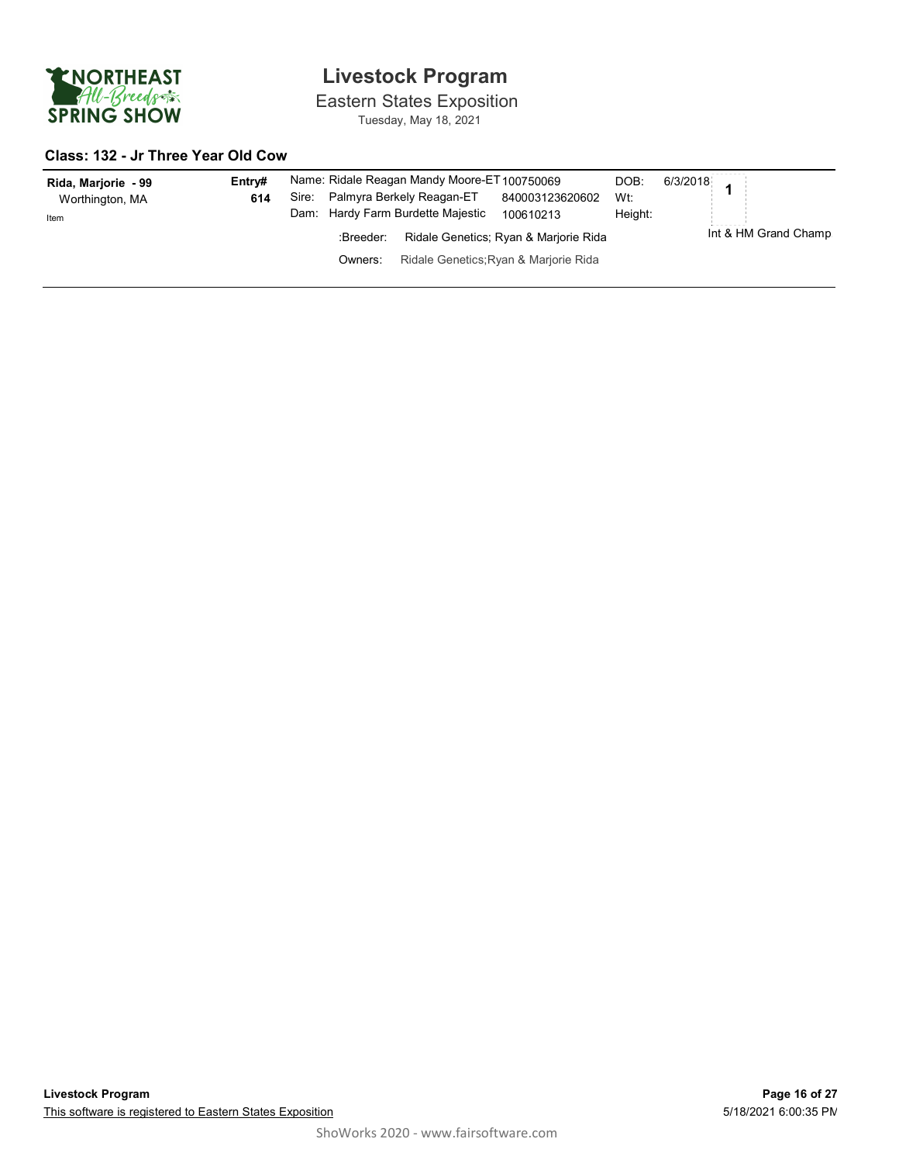

Eastern States Exposition Tuesday, May 18, 2021

#### Class: 132 - Jr Three Year Old Cow

| Rida, Marjorie - 99<br>Worthington, MA<br>Item | Entrv#<br>614 | Sire:<br>Dam: |                      | Name: Ridale Reagan Mandy Moore-ET100750069<br>Palmyra Berkely Reagan-ET<br>Hardy Farm Burdette Majestic | 840003123620602<br>100610213                                                   | DOB:<br>Wt:<br>Height: | 6/3/2018                  |
|------------------------------------------------|---------------|---------------|----------------------|----------------------------------------------------------------------------------------------------------|--------------------------------------------------------------------------------|------------------------|---------------------------|
|                                                |               |               | :Breeder:<br>Owners: |                                                                                                          | Ridale Genetics: Ryan & Marjorie Rida<br>Ridale Genetics; Ryan & Marjorie Rida |                        | .<br>Int & HM Grand Champ |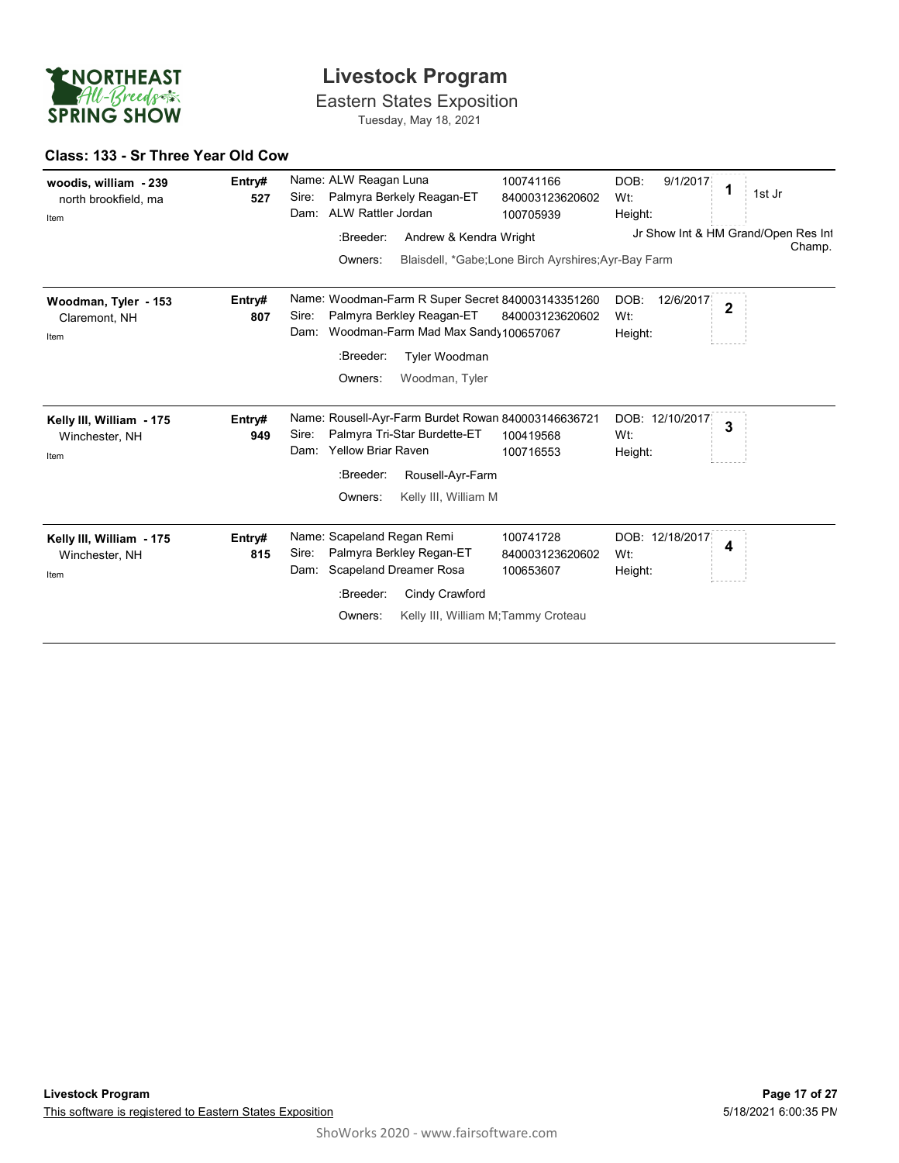

#### Class: 133 - Sr Three Year Old Cow

| <b>ENORTHEAST</b>                                     |               | <b>Livestock Program</b>                                                                                                                                                                                         |                                               |  |  |
|-------------------------------------------------------|---------------|------------------------------------------------------------------------------------------------------------------------------------------------------------------------------------------------------------------|-----------------------------------------------|--|--|
| All-Breeds<br><b>SPRING SHOW</b>                      |               | <b>Eastern States Exposition</b><br>Tuesday, May 18, 2021                                                                                                                                                        |                                               |  |  |
| Class: 133 - Sr Three Year Old Cow                    |               |                                                                                                                                                                                                                  |                                               |  |  |
| woodis, william - 239<br>north brookfield, ma<br>Item | Entry#<br>527 | Name: ALW Reagan Luna<br>100741166<br>DOB:<br>9/1/2017<br>1<br>Palmyra Berkely Reagan-ET<br>Sire:<br>840003123620602<br>Wt:<br>ALW Rattler Jordan<br>Dam:<br>100705939<br>Height:                                | 1st Jr                                        |  |  |
|                                                       |               | Andrew & Kendra Wright<br>:Breeder:                                                                                                                                                                              | Jr Show Int & HM Grand/Open Res Int<br>Champ. |  |  |
|                                                       |               | Blaisdell, *Gabe;Lone Birch Ayrshires;Ayr-Bay Farm<br>Owners:                                                                                                                                                    |                                               |  |  |
| Woodman, Tyler - 153<br>Claremont, NH<br>Item         | Entry#<br>807 | Name: Woodman-Farm R Super Secret 840003143351260<br>DOB:<br>12/6/2017<br>$\overline{2}$<br>Palmyra Berkley Reagan-ET<br>Sire:<br>Wt:<br>840003123620602<br>Dam: Woodman-Farm Mad Max Sandy 100657067<br>Height: |                                               |  |  |
|                                                       |               | :Breeder:<br>Tyler Woodman                                                                                                                                                                                       |                                               |  |  |
|                                                       |               | Owners:<br>Woodman, Tyler                                                                                                                                                                                        |                                               |  |  |
| Kelly III, William - 175<br>Winchester, NH<br>Item    | Entry#<br>949 | Name: Rousell-Ayr-Farm Burdet Rowan 840003146636721<br>DOB: 12/10/2017<br>3<br>Palmyra Tri-Star Burdette-ET<br>Sire:<br>Wt:<br>100419568<br><b>Yellow Briar Raven</b><br>Dam:<br>100716553<br>Height:            |                                               |  |  |
|                                                       |               | Rousell-Ayr-Farm<br>:Breeder:                                                                                                                                                                                    |                                               |  |  |
|                                                       |               | Kelly III, William M<br>Owners:                                                                                                                                                                                  |                                               |  |  |
| Kelly III, William - 175<br>Winchester, NH<br>Item    | Entry#<br>815 | Name: Scapeland Regan Remi<br>100741728<br>DOB: 12/18/2017<br>4<br>Palmyra Berkley Regan-ET<br>Sire:<br>840003123620602<br>Wt:<br><b>Scapeland Dreamer Rosa</b><br>Dam:<br>100653607<br>Height:                  |                                               |  |  |
|                                                       |               | :Breeder:<br>Cindy Crawford                                                                                                                                                                                      |                                               |  |  |
|                                                       |               | Kelly III, William M; Tammy Croteau<br>Owners:                                                                                                                                                                   |                                               |  |  |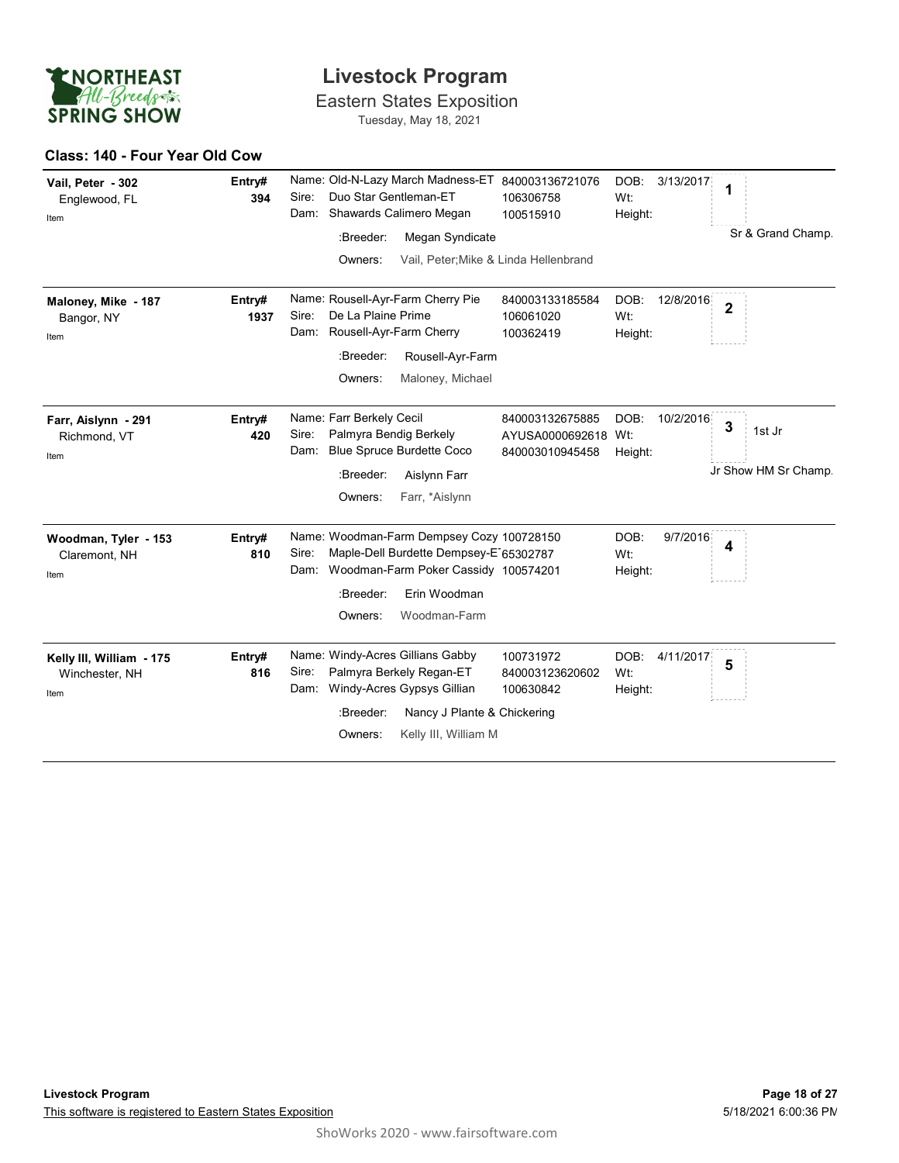

#### Class: 140 - Four Year Old Cow

| <b>ENORTHEAST</b>                                  | <b>Livestock Program</b><br>All-Breeds<br><b>Eastern States Exposition</b><br>Tuesday, May 18, 2021 |                                                                                                                                                                                                      |                                                                 |                        |                |                                                |  |
|----------------------------------------------------|-----------------------------------------------------------------------------------------------------|------------------------------------------------------------------------------------------------------------------------------------------------------------------------------------------------------|-----------------------------------------------------------------|------------------------|----------------|------------------------------------------------|--|
| <b>SPRING SHOW</b>                                 |                                                                                                     |                                                                                                                                                                                                      |                                                                 |                        |                |                                                |  |
| Class: 140 - Four Year Old Cow                     |                                                                                                     |                                                                                                                                                                                                      |                                                                 |                        |                |                                                |  |
| Vail, Peter - 302<br>Englewood, FL<br>Item         | Entry#<br>394                                                                                       | Name: Old-N-Lazy March Madness-ET 840003136721076<br>Duo Star Gentleman-ET<br>Sire:<br>Dam: Shawards Calimero Megan<br>Megan Syndicate<br>:Breeder:<br>Owners:                                       | 106306758<br>100515910<br>Vail, Peter; Mike & Linda Hellenbrand | DOB:<br>Wt:<br>Height: | 3/13/2017      | 1<br>Sr & Grand Champ.                         |  |
| Maloney, Mike - 187<br>Bangor, NY<br>Item          | Entry#<br>1937                                                                                      | Name: Rousell-Ayr-Farm Cherry Pie<br>De La Plaine Prime<br>Sire:<br>Dam: Rousell-Ayr-Farm Cherry<br>:Breeder:<br>Rousell-Ayr-Farm<br>Maloney, Michael<br>Owners:                                     | 840003133185584<br>106061020<br>100362419                       | DOB:<br>Wt:<br>Height: | 12/8/2016      | $\overline{\mathbf{2}}$                        |  |
| Farr, Aislynn - 291<br>Richmond, VT<br>Item        | Entry#<br>420                                                                                       | Name: Farr Berkely Cecil<br>Palmyra Bendig Berkely<br>Sire:<br><b>Blue Spruce Burdette Coco</b><br>Dam:<br>Aislynn Farr<br>:Breeder:<br>Farr, *Aislynn<br>Owners:                                    | 840003132675885<br>AYUSA0000692618 Wt:<br>840003010945458       | Height:                | DOB: 10/2/2016 | $\mathbf{3}$<br>1st Jr<br>Jr Show HM Sr Champ. |  |
| Woodman, Tyler - 153<br>Claremont, NH<br>Item      | Entry#<br>810                                                                                       | Name: Woodman-Farm Dempsey Cozy 100728150<br>Maple-Dell Burdette Dempsey-E 65302787<br>Sire:<br>Woodman-Farm Poker Cassidy 100574201<br>Dam:<br>Erin Woodman<br>:Breeder:<br>Woodman-Farm<br>Owners: |                                                                 | DOB:<br>Wt:<br>Height: | 9/7/2016       | $\boldsymbol{4}$                               |  |
| Kelly III, William - 175<br>Winchester, NH<br>Item | Entry#<br>816                                                                                       | Name: Windy-Acres Gillians Gabby<br>Palmyra Berkely Regan-ET<br>Sire:<br>Dam: Windy-Acres Gypsys Gillian<br>:Breeder:<br>Nancy J Plante & Chickering<br>Kelly III, William M<br>Owners:              | 100731972<br>840003123620602<br>100630842                       | DOB:<br>Wt:<br>Height: | 4/11/2017      | 5                                              |  |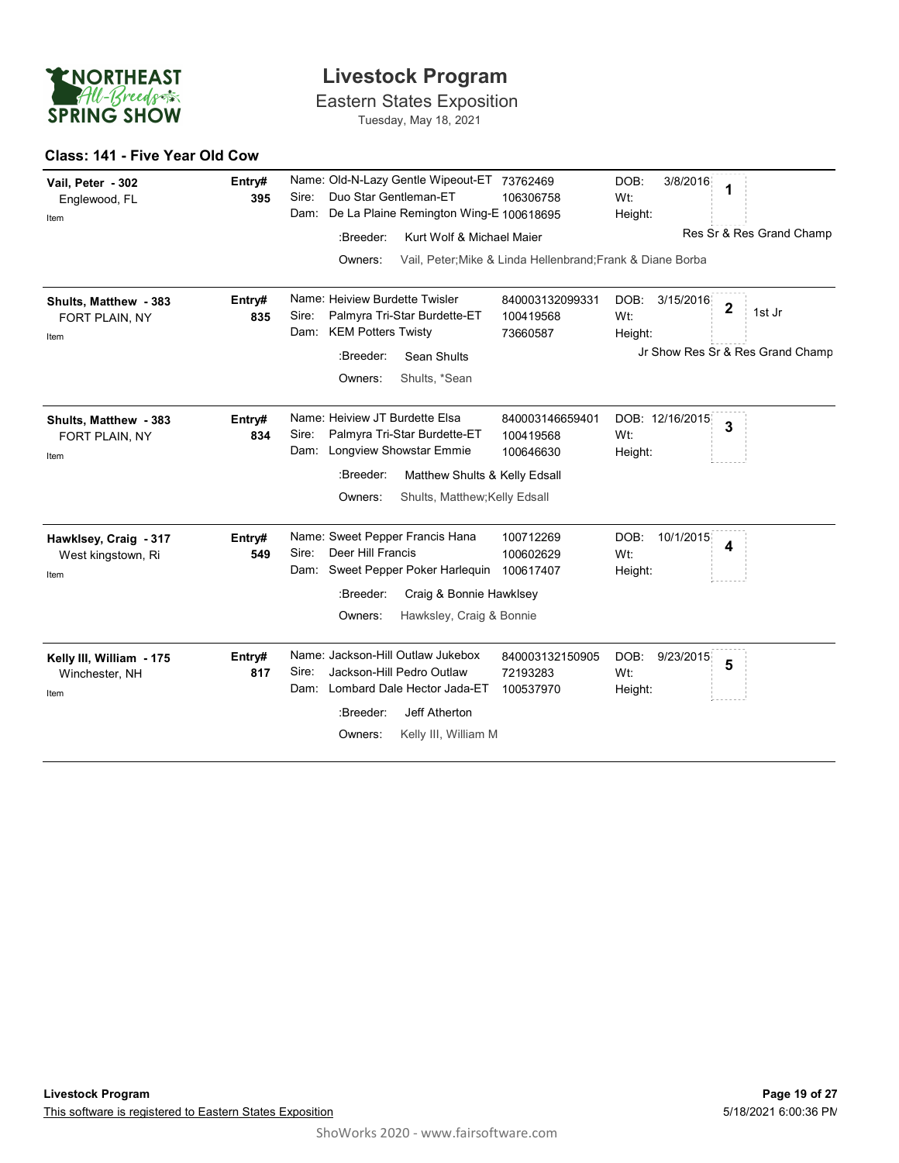

#### Class: 141 - Five Year Old Cow

| <b>ENORTHEAST</b>                                   |               | <b>Livestock Program</b>                                                                                                                                                                                                                                          |
|-----------------------------------------------------|---------------|-------------------------------------------------------------------------------------------------------------------------------------------------------------------------------------------------------------------------------------------------------------------|
| All-Breeds<br><b>SPRING SHOW</b>                    |               | <b>Eastern States Exposition</b><br>Tuesday, May 18, 2021                                                                                                                                                                                                         |
| Class: 141 - Five Year Old Cow                      |               |                                                                                                                                                                                                                                                                   |
| Vail, Peter - 302<br>Englewood, FL<br>Item          | Entry#<br>395 | Name: Old-N-Lazy Gentle Wipeout-ET 73762469<br>DOB:<br>3/8/2016<br>1<br>Duo Star Gentleman-ET<br>Sire:<br>106306758<br>Wt:<br>Dam: De La Plaine Remington Wing-E 100618695<br>Height:<br>Res Sr & Res Grand Champ<br>Kurt Wolf & Michael Maier<br>:Breeder:       |
|                                                     |               | Vail, Peter; Mike & Linda Hellenbrand; Frank & Diane Borba<br>Owners:                                                                                                                                                                                             |
| Shults, Matthew - 383<br>FORT PLAIN, NY<br>Item     | Entry#<br>835 | Name: Heiview Burdette Twisler<br>DOB:<br>3/15/2016<br>840003132099331<br>$\overline{\mathbf{2}}$<br>1st Jr<br>Palmyra Tri-Star Burdette-ET<br>Wt:<br>Sire:<br>100419568<br>Dam: KEM Potters Twisty<br>73660587<br>Height:                                        |
|                                                     |               | Jr Show Res Sr & Res Grand Champ<br>:Breeder:<br>Sean Shults<br>Shults, *Sean<br>Owners:                                                                                                                                                                          |
| Shults, Matthew - 383<br>FORT PLAIN, NY<br>Item     | Entry#<br>834 | Name: Heiview JT Burdette Elsa<br>840003146659401<br>DOB: 12/16/2015<br>3<br>Palmyra Tri-Star Burdette-ET<br>Sire:<br>100419568<br>Wt:<br>Dam: Longview Showstar Emmie<br>100646630<br>Height:<br>Matthew Shults & Kelly Edsall<br>:Breeder:                      |
|                                                     |               | Shults, Matthew; Kelly Edsall<br>Owners:                                                                                                                                                                                                                          |
| Hawklsey, Craig - 317<br>West kingstown, Ri<br>Item | Entry#<br>549 | Name: Sweet Pepper Francis Hana<br>100712269<br>DOB:<br>10/1/2015<br>4<br>Deer Hill Francis<br>Sire:<br>Wt:<br>100602629<br>Dam: Sweet Pepper Poker Harlequin 100617407<br>Height:<br>:Breeder:<br>Craig & Bonnie Hawklsey<br>Hawksley, Craig & Bonnie<br>Owners: |
| Kelly III, William - 175<br>Winchester, NH<br>Item  | Entry#<br>817 | Name: Jackson-Hill Outlaw Jukebox<br>DOB:<br>9/23/2015<br>840003132150905<br>5<br>Jackson-Hill Pedro Outlaw<br>Sire:<br>72193283<br>Wt:<br>Dam: Lombard Dale Hector Jada-ET<br>100537970<br>Height:<br>:Breeder:<br>Jeff Atherton                                 |
|                                                     |               | Kelly III, William M<br>Owners:                                                                                                                                                                                                                                   |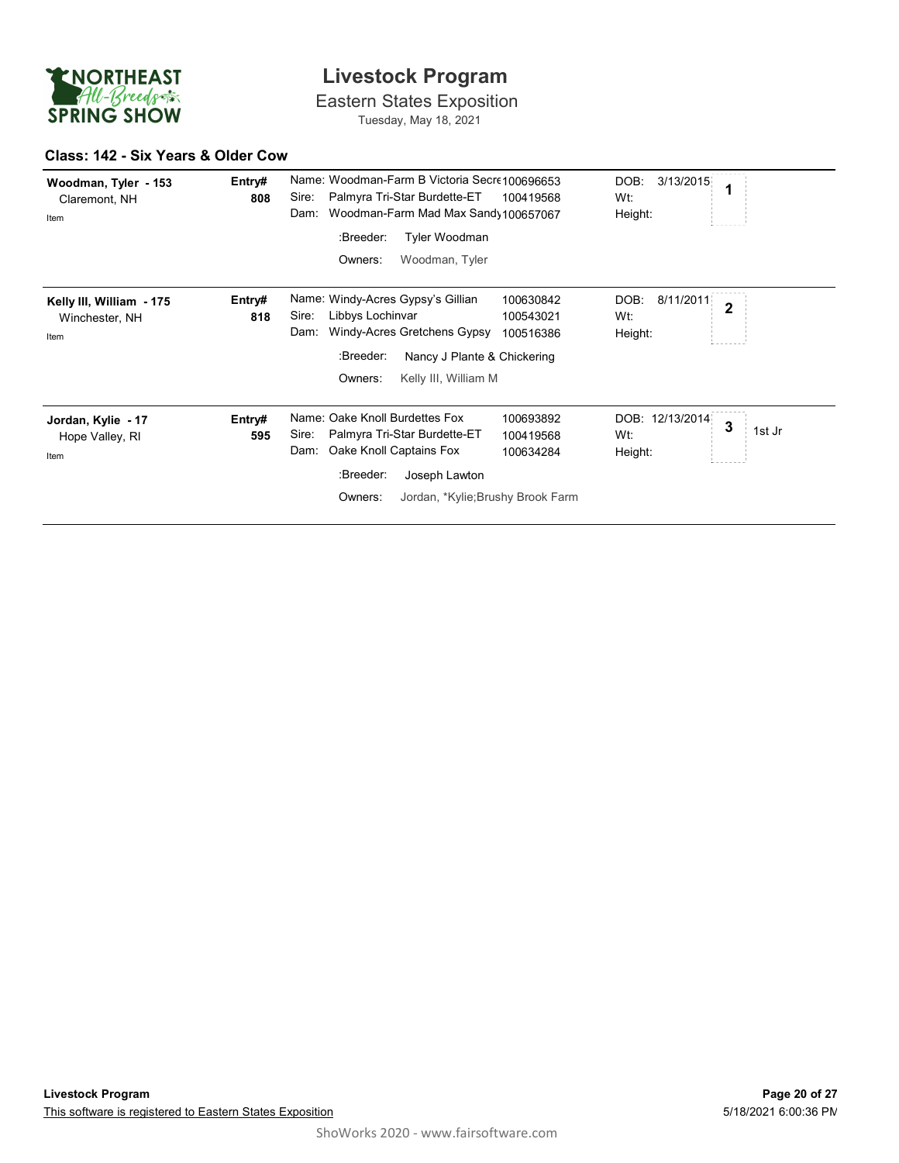

#### Class: 142 - Six Years & Older Cow

| ENORTHEAST                                         | <b>Livestock Program</b>                                                                                                                                                                                                                         |                                                       |  |  |  |
|----------------------------------------------------|--------------------------------------------------------------------------------------------------------------------------------------------------------------------------------------------------------------------------------------------------|-------------------------------------------------------|--|--|--|
| All-Breeds<br><b>SPRING SHOW</b>                   | <b>Eastern States Exposition</b><br>Tuesday, May 18, 2021                                                                                                                                                                                        |                                                       |  |  |  |
| Class: 142 - Six Years & Older Cow                 |                                                                                                                                                                                                                                                  |                                                       |  |  |  |
| Woodman, Tyler - 153<br>Claremont, NH<br>Item      | Name: Woodman-Farm B Victoria Secre100696653<br>Entry#<br>Palmyra Tri-Star Burdette-ET<br>Sire:<br>100419568<br>808<br>Woodman-Farm Mad Max Sand 100657067<br>Dam:<br>Tyler Woodman<br>:Breeder:<br>Woodman, Tyler<br>Owners:                    | DOB:<br>3/13/2015<br>1<br>Wt:<br>Height:              |  |  |  |
| Kelly III, William - 175<br>Winchester, NH<br>Item | Name: Windy-Acres Gypsy's Gillian<br>100630842<br>Entry#<br>Sire:<br>Libbys Lochinvar<br>818<br>100543021<br>Windy-Acres Gretchens Gypsy<br>Dam:<br>100516386<br>:Breeder:<br>Nancy J Plante & Chickering<br>Kelly III, William M<br>Owners:     | DOB:<br>8/11/2011<br>$\overline{2}$<br>Wt:<br>Height: |  |  |  |
| Jordan, Kylie - 17<br>Hope Valley, RI<br>Item      | Name: Oake Knoll Burdettes Fox<br>100693892<br>Entry#<br>Palmyra Tri-Star Burdette-ET<br>Sire:<br>100419568<br>595<br>Oake Knoll Captains Fox<br>Dam:<br>100634284<br>Joseph Lawton<br>:Breeder:<br>Jordan, *Kylie; Brushy Brook Farm<br>Owners: | DOB: 12/13/2014<br>3<br>1st Jr<br>Wt:<br>Height:      |  |  |  |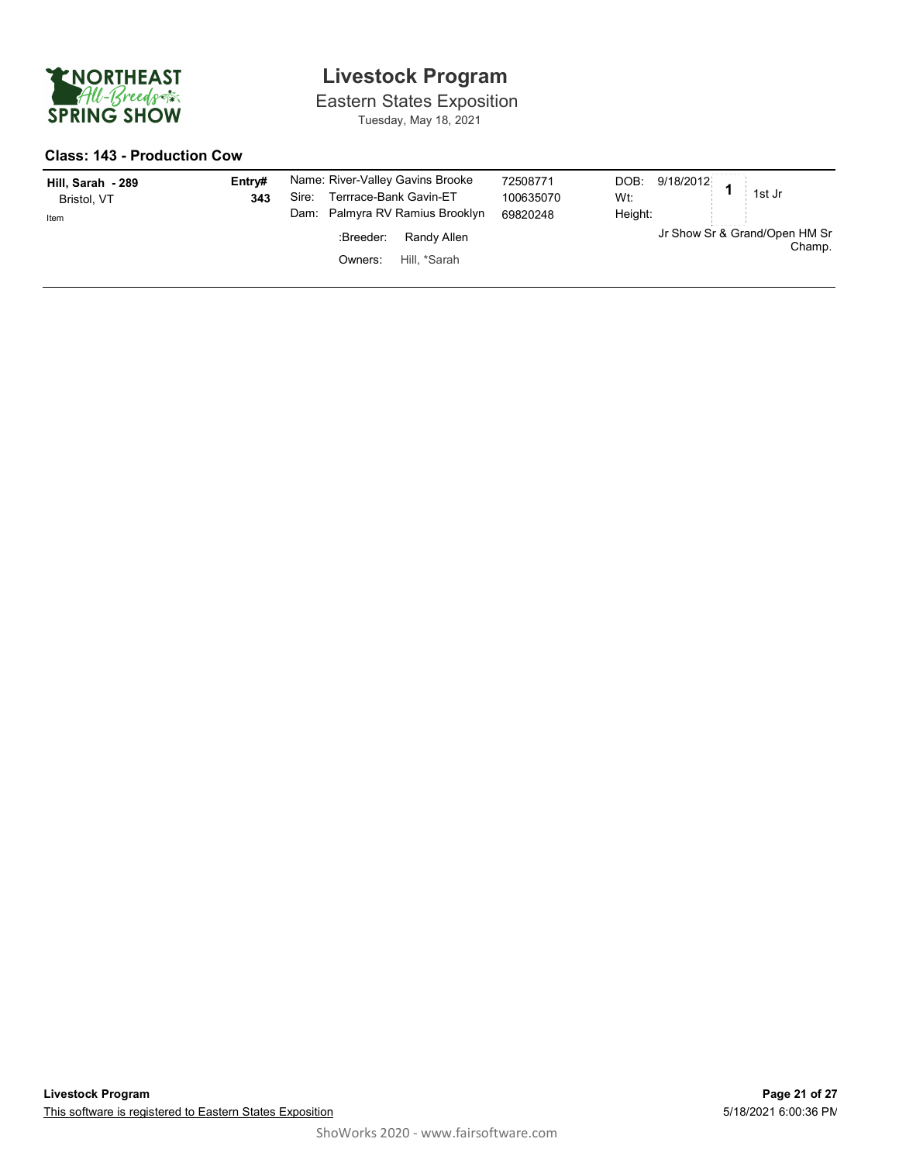

Eastern States Exposition Tuesday, May 18, 2021

#### Class: 143 - Production Cow

| Hill, Sarah - 289<br>Bristol, VT<br>Item | Entry#<br>343 | Name: River-Valley Gavins Brooke<br>Terrrace-Bank Gavin-ET<br>Sire:<br>Dam: Palmyra RV Ramius Brooklyn | 72508771<br>100635070<br>69820248 | 9/18/2012<br>DOB:<br>1st Jr<br>Wt:<br>Height: |
|------------------------------------------|---------------|--------------------------------------------------------------------------------------------------------|-----------------------------------|-----------------------------------------------|
|                                          |               | Randy Allen<br>:Breeder:                                                                               |                                   | .<br>Jr Show Sr & Grand/Open HM Sr<br>Champ.  |
|                                          |               | Hill. *Sarah<br>Owners:                                                                                |                                   |                                               |
|                                          |               |                                                                                                        |                                   |                                               |